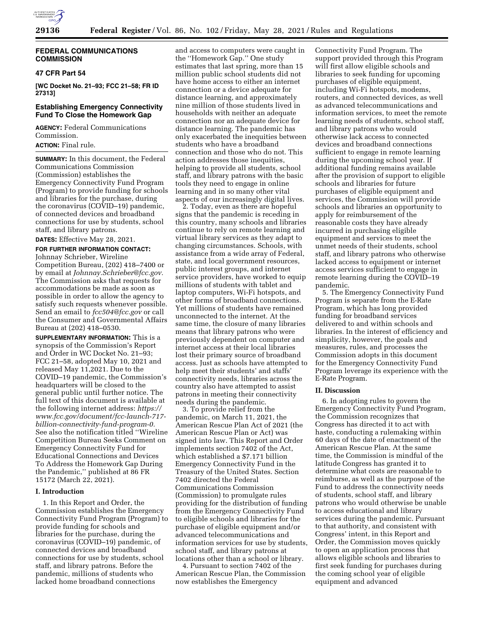

# **FEDERAL COMMUNICATIONS COMMISSION**

## **47 CFR Part 54**

**[WC Docket No. 21–93; FCC 21–58; FR ID 27313]** 

# **Establishing Emergency Connectivity Fund To Close the Homework Gap**

**AGENCY:** Federal Communications Commission.

**ACTION:** Final rule.

**SUMMARY:** In this document, the Federal Communications Commission (Commission) establishes the Emergency Connectivity Fund Program (Program) to provide funding for schools and libraries for the purchase, during the coronavirus (COVID–19) pandemic, of connected devices and broadband connections for use by students, school staff, and library patrons.

**DATES:** Effective May 28, 2021.

**FOR FURTHER INFORMATION CONTACT:**  Johnnay Schrieber, Wireline Competition Bureau, (202) 418–7400 or by email at *[Johnnay.Schrieber@fcc.gov.](mailto:Johnnay.Schrieber@fcc.gov)*  The Commission asks that requests for accommodations be made as soon as possible in order to allow the agency to satisfy such requests whenever possible. Send an email to *[fcc504@fcc.gov](mailto:fcc504@fcc.gov)* or call the Consumer and Governmental Affairs Bureau at (202) 418–0530.

**SUPPLEMENTARY INFORMATION:** This is a synopsis of the Commission's Report and Order in WC Docket No. 21–93; FCC 21–58, adopted May 10, 2021 and released May 11,2021. Due to the COVID–19 pandemic, the Commission's headquarters will be closed to the general public until further notice. The full text of this document is available at the following internet address: *[https://](https://www.fcc.gov/document/fcc-launch-717-billion-connectivity-fund-program-0) [www.fcc.gov/document/fcc-launch-717](https://www.fcc.gov/document/fcc-launch-717-billion-connectivity-fund-program-0) [billion-connectivity-fund-program-0.](https://www.fcc.gov/document/fcc-launch-717-billion-connectivity-fund-program-0)*  See also the notification titled ''Wireline Competition Bureau Seeks Comment on Emergency Connectivity Fund for Educational Connections and Devices To Address the Homework Gap During the Pandemic,'' published at 86 FR 15172 (March 22, 2021).

## **I. Introduction**

1. In this Report and Order, the Commission establishes the Emergency Connectivity Fund Program (Program) to provide funding for schools and libraries for the purchase, during the coronavirus (COVID–19) pandemic, of connected devices and broadband connections for use by students, school staff, and library patrons. Before the pandemic, millions of students who lacked home broadband connections

and access to computers were caught in the ''Homework Gap.'' One study estimates that last spring, more than 15 million public school students did not have home access to either an internet connection or a device adequate for distance learning, and approximately nine million of those students lived in households with neither an adequate connection nor an adequate device for distance learning. The pandemic has only exacerbated the inequities between students who have a broadband connection and those who do not. This action addresses those inequities, helping to provide all students, school staff, and library patrons with the basic tools they need to engage in online learning and in so many other vital aspects of our increasingly digital lives.

2. Today, even as there are hopeful signs that the pandemic is receding in this country, many schools and libraries continue to rely on remote learning and virtual library services as they adapt to changing circumstances. Schools, with assistance from a wide array of Federal, state, and local government resources, public interest groups, and internet service providers, have worked to equip millions of students with tablet and laptop computers, Wi-Fi hotspots, and other forms of broadband connections. Yet millions of students have remained unconnected to the internet. At the same time, the closure of many libraries means that library patrons who were previously dependent on computer and internet access at their local libraries lost their primary source of broadband access. Just as schools have attempted to help meet their students' and staffs' connectivity needs, libraries across the country also have attempted to assist patrons in meeting their connectivity needs during the pandemic.

3. To provide relief from the pandemic, on March 11, 2021, the American Rescue Plan Act of 2021 (the American Rescue Plan or Act) was signed into law. This Report and Order implements section 7402 of the Act, which established a \$7.171 billion Emergency Connectivity Fund in the Treasury of the United States. Section 7402 directed the Federal Communications Commission (Commission) to promulgate rules providing for the distribution of funding from the Emergency Connectivity Fund to eligible schools and libraries for the purchase of eligible equipment and/or advanced telecommunications and information services for use by students, school staff, and library patrons at locations other than a school or library.

4. Pursuant to section 7402 of the American Rescue Plan, the Commission now establishes the Emergency

Connectivity Fund Program. The support provided through this Program will first allow eligible schools and libraries to seek funding for upcoming purchases of eligible equipment, including Wi-Fi hotspots, modems, routers, and connected devices, as well as advanced telecommunications and information services, to meet the remote learning needs of students, school staff, and library patrons who would otherwise lack access to connected devices and broadband connections sufficient to engage in remote learning during the upcoming school year. If additional funding remains available after the provision of support to eligible schools and libraries for future purchases of eligible equipment and services, the Commission will provide schools and libraries an opportunity to apply for reimbursement of the reasonable costs they have already incurred in purchasing eligible equipment and services to meet the unmet needs of their students, school staff, and library patrons who otherwise lacked access to equipment or internet access services sufficient to engage in remote learning during the COVID–19 pandemic.

5. The Emergency Connectivity Fund Program is separate from the E-Rate Program, which has long provided funding for broadband services delivered to and within schools and libraries. In the interest of efficiency and simplicity, however, the goals and measures, rules, and processes the Commission adopts in this document for the Emergency Connectivity Fund Program leverage its experience with the E-Rate Program.

# **II. Discussion**

6. In adopting rules to govern the Emergency Connectivity Fund Program, the Commission recognizes that Congress has directed it to act with haste, conducting a rulemaking within 60 days of the date of enactment of the American Rescue Plan. At the same time, the Commission is mindful of the latitude Congress has granted it to determine what costs are reasonable to reimburse, as well as the purpose of the Fund to address the connectivity needs of students, school staff, and library patrons who would otherwise be unable to access educational and library services during the pandemic. Pursuant to that authority, and consistent with Congress' intent, in this Report and Order, the Commission moves quickly to open an application process that allows eligible schools and libraries to first seek funding for purchases during the coming school year of eligible equipment and advanced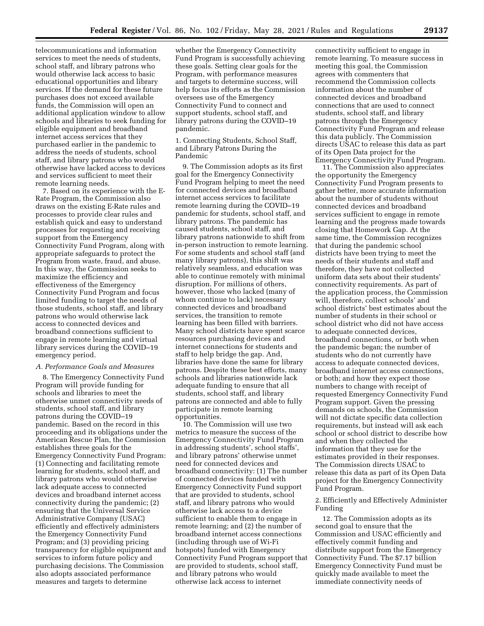telecommunications and information services to meet the needs of students, school staff, and library patrons who would otherwise lack access to basic educational opportunities and library services. If the demand for these future purchases does not exceed available funds, the Commission will open an additional application window to allow schools and libraries to seek funding for eligible equipment and broadband internet access services that they purchased earlier in the pandemic to address the needs of students, school staff, and library patrons who would otherwise have lacked access to devices and services sufficient to meet their remote learning needs.

7. Based on its experience with the E-Rate Program, the Commission also draws on the existing E-Rate rules and processes to provide clear rules and establish quick and easy to understand processes for requesting and receiving support from the Emergency Connectivity Fund Program, along with appropriate safeguards to protect the Program from waste, fraud, and abuse. In this way, the Commission seeks to maximize the efficiency and effectiveness of the Emergency Connectivity Fund Program and focus limited funding to target the needs of those students, school staff, and library patrons who would otherwise lack access to connected devices and broadband connections sufficient to engage in remote learning and virtual library services during the COVID–19 emergency period.

## *A. Performance Goals and Measures*

8. The Emergency Connectivity Fund Program will provide funding for schools and libraries to meet the otherwise unmet connectivity needs of students, school staff, and library patrons during the COVID–19 pandemic. Based on the record in this proceeding and its obligations under the American Rescue Plan, the Commission establishes three goals for the Emergency Connectivity Fund Program: (1) Connecting and facilitating remote learning for students, school staff, and library patrons who would otherwise lack adequate access to connected devices and broadband internet access connectivity during the pandemic; (2) ensuring that the Universal Service Administrative Company (USAC) efficiently and effectively administers the Emergency Connectivity Fund Program; and (3) providing pricing transparency for eligible equipment and services to inform future policy and purchasing decisions. The Commission also adopts associated performance measures and targets to determine

whether the Emergency Connectivity Fund Program is successfully achieving these goals. Setting clear goals for the Program, with performance measures and targets to determine success, will help focus its efforts as the Commission oversees use of the Emergency Connectivity Fund to connect and support students, school staff, and library patrons during the COVID–19 pandemic.

1. Connecting Students, School Staff, and Library Patrons During the Pandemic

9. The Commission adopts as its first goal for the Emergency Connectivity Fund Program helping to meet the need for connected devices and broadband internet access services to facilitate remote learning during the COVID–19 pandemic for students, school staff, and library patrons. The pandemic has caused students, school staff, and library patrons nationwide to shift from in-person instruction to remote learning. For some students and school staff (and many library patrons), this shift was relatively seamless, and education was able to continue remotely with minimal disruption. For millions of others, however, those who lacked (many of whom continue to lack) necessary connected devices and broadband services, the transition to remote learning has been filled with barriers. Many school districts have spent scarce resources purchasing devices and internet connections for students and staff to help bridge the gap. And, libraries have done the same for library patrons. Despite these best efforts, many schools and libraries nationwide lack adequate funding to ensure that all students, school staff, and library patrons are connected and able to fully participate in remote learning opportunities.

10. The Commission will use two metrics to measure the success of the Emergency Connectivity Fund Program in addressing students', school staffs', and library patrons' otherwise unmet need for connected devices and broadband connectivity: (1) The number of connected devices funded with Emergency Connectivity Fund support that are provided to students, school staff, and library patrons who would otherwise lack access to a device sufficient to enable them to engage in remote learning; and (2) the number of broadband internet access connections (including through use of Wi-Fi hotspots) funded with Emergency Connectivity Fund Program support that are provided to students, school staff, and library patrons who would otherwise lack access to internet

connectivity sufficient to engage in remote learning. To measure success in meeting this goal, the Commission agrees with commenters that recommend the Commission collects information about the number of connected devices and broadband connections that are used to connect students, school staff, and library patrons through the Emergency Connectivity Fund Program and release this data publicly. The Commission directs USAC to release this data as part of its Open Data project for the Emergency Connectivity Fund Program.

11. The Commission also appreciates the opportunity the Emergency Connectivity Fund Program presents to gather better, more accurate information about the number of students without connected devices and broadband services sufficient to engage in remote learning and the progress made towards closing that Homework Gap. At the same time, the Commission recognizes that during the pandemic school districts have been trying to meet the needs of their students and staff and therefore, they have not collected uniform data sets about their students' connectivity requirements. As part of the application process, the Commission will, therefore, collect schools' and school districts' best estimates about the number of students in their school or school district who did not have access to adequate connected devices, broadband connections, or both when the pandemic began; the number of students who do not currently have access to adequate connected devices, broadband internet access connections, or both; and how they expect those numbers to change with receipt of requested Emergency Connectivity Fund Program support. Given the pressing demands on schools, the Commission will not dictate specific data collection requirements, but instead will ask each school or school district to describe how and when they collected the information that they use for the estimates provided in their responses. The Commission directs USAC to release this data as part of its Open Data project for the Emergency Connectivity Fund Program.

2. Efficiently and Effectively Administer Funding

12. The Commission adopts as its second goal to ensure that the Commission and USAC efficiently and effectively commit funding and distribute support from the Emergency Connectivity Fund. The \$7.17 billion Emergency Connectivity Fund must be quickly made available to meet the immediate connectivity needs of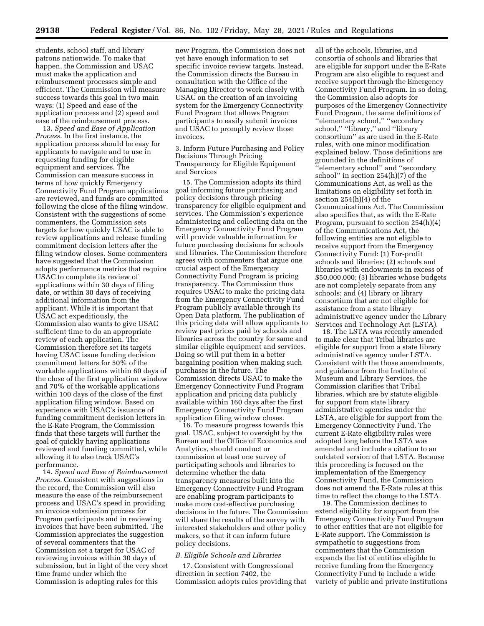students, school staff, and library patrons nationwide. To make that happen, the Commission and USAC must make the application and reimbursement processes simple and efficient. The Commission will measure success towards this goal in two main ways: (1) Speed and ease of the application process and (2) speed and ease of the reimbursement process.

13. *Speed and Ease of Application Process.* In the first instance, the application process should be easy for applicants to navigate and to use in requesting funding for eligible equipment and services. The Commission can measure success in terms of how quickly Emergency Connectivity Fund Program applications are reviewed, and funds are committed following the close of the filing window. Consistent with the suggestions of some commenters, the Commission sets targets for how quickly USAC is able to review applications and release funding commitment decision letters after the filing window closes. Some commenters have suggested that the Commission adopts performance metrics that require USAC to complete its review of applications within 30 days of filing date, or within 30 days of receiving additional information from the applicant. While it is important that USAC act expeditiously, the Commission also wants to give USAC sufficient time to do an appropriate review of each application. The Commission therefore set its targets having USAC issue funding decision commitment letters for 50% of the workable applications within 60 days of the close of the first application window and 70% of the workable applications within 100 days of the close of the first application filing window. Based on experience with USAC's issuance of funding commitment decision letters in the E-Rate Program, the Commission finds that these targets will further the goal of quickly having applications reviewed and funding committed, while allowing it to also track USAC's performance.

14. *Speed and Ease of Reimbursement Process.* Consistent with suggestions in the record, the Commission will also measure the ease of the reimbursement process and USAC's speed in providing an invoice submission process for Program participants and in reviewing invoices that have been submitted. The Commission appreciates the suggestion of several commenters that the Commission set a target for USAC of reviewing invoices within 30 days of submission, but in light of the very short time frame under which the Commission is adopting rules for this

new Program, the Commission does not yet have enough information to set specific invoice review targets. Instead, the Commission directs the Bureau in consultation with the Office of the Managing Director to work closely with USAC on the creation of an invoicing system for the Emergency Connectivity Fund Program that allows Program participants to easily submit invoices and USAC to promptly review those invoices.

3. Inform Future Purchasing and Policy Decisions Through Pricing Transparency for Eligible Equipment and Services

15. The Commission adopts its third goal informing future purchasing and policy decisions through pricing transparency for eligible equipment and services. The Commission's experience administering and collecting data on the Emergency Connectivity Fund Program will provide valuable information for future purchasing decisions for schools and libraries. The Commission therefore agrees with commenters that argue one crucial aspect of the Emergency Connectivity Fund Program is pricing transparency. The Commission thus requires USAC to make the pricing data from the Emergency Connectivity Fund Program publicly available through its Open Data platform. The publication of this pricing data will allow applicants to review past prices paid by schools and libraries across the country for same and similar eligible equipment and services. Doing so will put them in a better bargaining position when making such purchases in the future. The Commission directs USAC to make the Emergency Connectivity Fund Program application and pricing data publicly available within 160 days after the first Emergency Connectivity Fund Program application filing window closes.

16. To measure progress towards this goal, USAC, subject to oversight by the Bureau and the Office of Economics and Analytics, should conduct or commission at least one survey of participating schools and libraries to determine whether the data transparency measures built into the Emergency Connectivity Fund Program are enabling program participants to make more cost-effective purchasing decisions in the future. The Commission will share the results of the survey with interested stakeholders and other policy makers, so that it can inform future policy decisions.

## *B. Eligible Schools and Libraries*

17. Consistent with Congressional direction in section 7402, the Commission adopts rules providing that

all of the schools, libraries, and consortia of schools and libraries that are eligible for support under the E-Rate Program are also eligible to request and receive support through the Emergency Connectivity Fund Program. In so doing, the Commission also adopts for purposes of the Emergency Connectivity Fund Program, the same definitions of ''elementary school,'' ''secondary school," "library," and "library consortium'' as are used in the E-Rate rules, with one minor modification explained below. Those definitions are grounded in the definitions of ''elementary school'' and ''secondary school'' in section 254(h)(7) of the Communications Act, as well as the limitations on eligibility set forth in section 254(h)(4) of the Communications Act. The Commission also specifies that, as with the E-Rate Program, pursuant to section 254(h)(4) of the Communications Act, the following entities are not eligible to receive support from the Emergency Connectivity Fund: (1) For-profit schools and libraries; (2) schools and libraries with endowments in excess of \$50,000,000; (3) libraries whose budgets are not completely separate from any schools; and (4) library or library consortium that are not eligible for assistance from a state library administrative agency under the Library Services and Technology Act (LSTA).

18. The LSTA was recently amended to make clear that Tribal libraries are eligible for support from a state library administrative agency under LSTA. Consistent with the those amendments, and guidance from the Institute of Museum and Library Services, the Commission clarifies that Tribal libraries, which are by statute eligible for support from state library administrative agencies under the LSTA, are eligible for support from the Emergency Connectivity Fund. The current E-Rate eligibility rules were adopted long before the LSTA was amended and include a citation to an outdated version of that LSTA. Because this proceeding is focused on the implementation of the Emergency Connectivity Fund, the Commission does not amend the E-Rate rules at this time to reflect the change to the LSTA.

19. The Commission declines to extend eligibility for support from the Emergency Connectivity Fund Program to other entities that are not eligible for E-Rate support. The Commission is sympathetic to suggestions from commenters that the Commission expands the list of entities eligible to receive funding from the Emergency Connectivity Fund to include a wide variety of public and private institutions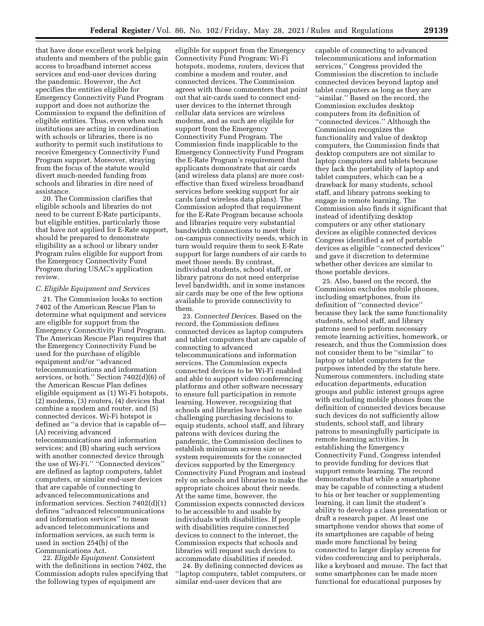that have done excellent work helping students and members of the public gain access to broadband internet access services and end-user devices during the pandemic. However, the Act specifies the entities eligible for Emergency Connectivity Fund Program support and does not authorize the Commission to expand the definition of eligible entities. Thus, even when such institutions are acting in coordination with schools or libraries, there is no authority to permit such institutions to receive Emergency Connectivity Fund Program support. Moreover, straying from the focus of the statute would divert much-needed funding from schools and libraries in dire need of assistance.

20. The Commission clarifies that eligible schools and libraries do not need to be current E-Rate participants, but eligible entities, particularly those that have not applied for E-Rate support, should be prepared to demonstrate eligibility as a school or library under Program rules eligible for support from the Emergency Connectivity Fund Program during USAC's application review.

#### *C. Eligible Equipment and Services*

21. The Commission looks to section 7402 of the American Rescue Plan to determine what equipment and services are eligible for support from the Emergency Connectivity Fund Program. The American Rescue Plan requires that the Emergency Connectivity Fund be used for the purchase of eligible equipment and/or ''advanced telecommunications and information services, or both.'' Section 7402(d)(6) of the American Rescue Plan defines eligible equipment as (1) Wi-Fi hotspots, (2) modems, (3) routers, (4) devices that combine a modem and router, and (5) connected devices. Wi-Fi hotspot is defined as ''a device that is capable of— (A) receiving advanced telecommunications and information services; and (B) sharing such services with another connected device through the use of Wi-Fi.'' ''Connected devices'' are defined as laptop computers, tablet computers, or similar end-user devices that are capable of connecting to advanced telecommunications and information services. Section 7402(d)(1) defines ''advanced telecommunications and information services'' to mean advanced telecommunications and information services, as such term is used in section 254(h) of the Communications Act.

22. *Eligible Equipment.* Consistent with the definitions in section 7402, the Commission adopts rules specifying that the following types of equipment are

eligible for support from the Emergency Connectivity Fund Program: Wi-Fi hotspots, modems, routers, devices that combine a modem and router, and connected devices. The Commission agrees with those commenters that point out that air-cards used to connect enduser devices to the internet through cellular data services are wireless modems, and as such are eligible for support from the Emergency Connectivity Fund Program. The Commission finds inapplicable to the Emergency Connectivity Fund Program the E-Rate Program's requirement that applicants demonstrate that air cards (and wireless data plans) are more costeffective than fixed wireless broadband services before seeking support for air cards (and wireless data plans). The Commission adopted that requirement for the E-Rate Program because schools and libraries require very substantial bandwidth connections to meet their on-campus connectivity needs, which in turn would require them to seek E-Rate support for large numbers of air cards to meet those needs. By contrast, individual students, school staff, or library patrons do not need enterprise level bandwidth, and in some instances air cards may be one of the few options available to provide connectivity to them.

23. *Connected Devices.* Based on the record, the Commission defines connected devices as laptop computers and tablet computers that are capable of connecting to advanced telecommunications and information services. The Commission expects connected devices to be Wi-Fi enabled and able to support video conferencing platforms and other software necessary to ensure full participation in remote learning. However, recognizing that schools and libraries have had to make challenging purchasing decisions to equip students, school staff, and library patrons with devices during the pandemic, the Commission declines to establish minimum screen size or system requirements for the connected devices supported by the Emergency Connectivity Fund Program and instead rely on schools and libraries to make the appropriate choices about their needs. At the same time, however, the Commission expects connected devices to be accessible to and usable by individuals with disabilities. If people with disabilities require connected devices to connect to the internet, the Commission expects that schools and libraries will request such devices to accommodate disabilities if needed.

24. By defining connected devices as ''laptop computers, tablet computers, or similar end-user devices that are

capable of connecting to advanced telecommunications and information services,'' Congress provided the Commission the discretion to include connected devices beyond laptop and tablet computers as long as they are ''similar.'' Based on the record, the Commission excludes desktop computers from its definition of ''connected devices.'' Although the Commission recognizes the functionality and value of desktop computers, the Commission finds that desktop computers are not similar to laptop computers and tablets because they lack the portability of laptop and tablet computers, which can be a drawback for many students, school staff, and library patrons seeking to engage in remote learning. The Commission also finds it significant that instead of identifying desktop computers or any other stationary devices as eligible connected devices Congress identified a set of portable devices as eligible ''connected devices'' and gave it discretion to determine whether other devices are similar to those portable devices.

25. Also, based on the record, the Commission excludes mobile phones, including smartphones, from its definition of ''connected device'' because they lack the same functionality students, school staff, and library patrons need to perform necessary remote learning activities, homework, or research, and thus the Commission does not consider them to be ''similar'' to laptop or tablet computers for the purposes intended by the statute here. Numerous commenters, including state education departments, education groups and public interest groups agree with excluding mobile phones from the definition of connected devices because such devices do not sufficiently allow students, school staff, and library patrons to meaningfully participate in remote learning activities. In establishing the Emergency Connectivity Fund, Congress intended to provide funding for devices that support remote learning. The record demonstrates that while a smartphone may be capable of connecting a student to his or her teacher or supplementing learning, it can limit the student's ability to develop a class presentation or draft a research paper. At least one smartphone vendor shows that some of its smartphones are capable of being made more functional by being connected to larger display screens for video conferencing and to peripherals, like a keyboard and mouse. The fact that some smartphones can be made more functional for educational purposes by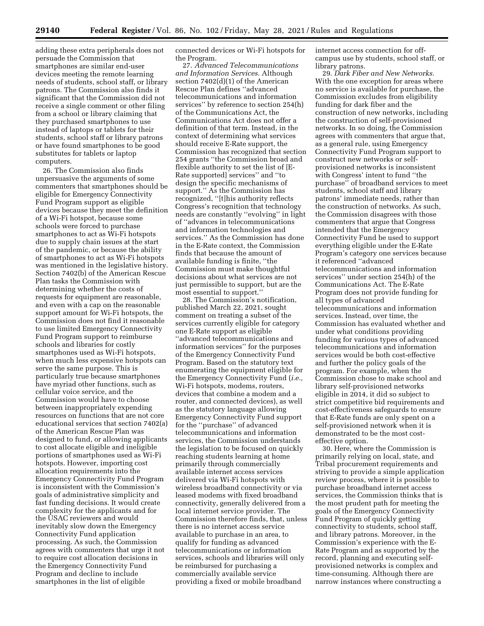adding these extra peripherals does not persuade the Commission that smartphones are similar end-user devices meeting the remote learning needs of students, school staff, or library patrons. The Commission also finds it significant that the Commission did not receive a single comment or other filing from a school or library claiming that they purchased smartphones to use instead of laptops or tablets for their students, school staff or library patrons or have found smartphones to be good substitutes for tablets or laptop computers.

26. The Commission also finds unpersuasive the arguments of some commenters that smartphones should be eligible for Emergency Connectivity Fund Program support as eligible devices because they meet the definition of a Wi-Fi hotspot, because some schools were forced to purchase smartphones to act as Wi-Fi hotspots due to supply chain issues at the start of the pandemic, or because the ability of smartphones to act as Wi-Fi hotspots was mentioned in the legislative history. Section 7402(b) of the American Rescue Plan tasks the Commission with determining whether the costs of requests for equipment are reasonable, and even with a cap on the reasonable support amount for Wi-Fi hotspots, the Commission does not find it reasonable to use limited Emergency Connectivity Fund Program support to reimburse schools and libraries for costly smartphones used as Wi-Fi hotspots, when much less expensive hotspots can serve the same purpose. This is particularly true because smartphones have myriad other functions, such as cellular voice service, and the Commission would have to choose between inappropriately expending resources on functions that are not core educational services that section 7402(a) of the American Rescue Plan was designed to fund, or allowing applicants to cost allocate eligible and ineligible portions of smartphones used as Wi-Fi hotspots. However, importing cost allocation requirements into the Emergency Connectivity Fund Program is inconsistent with the Commission's goals of administrative simplicity and fast funding decisions. It would create complexity for the applicants and for the USAC reviewers and would inevitably slow down the Emergency Connectivity Fund application processing. As such, the Commission agrees with commenters that urge it not to require cost allocation decisions in the Emergency Connectivity Fund Program and decline to include smartphones in the list of eligible

connected devices or Wi-Fi hotspots for the Program.

27. *Advanced Telecommunications and Information Services.* Although section 7402(d)(1) of the American Rescue Plan defines ''advanced telecommunications and information services'' by reference to section 254(h) of the Communications Act, the Communications Act does not offer a definition of that term. Instead, in the context of determining what services should receive E-Rate support, the Commission has recognized that section 254 grants ''the Commission broad and flexible authority to set the list of [E-Rate supported] services'' and ''to design the specific mechanisms of support.'' As the Commission has recognized, ''[t]his authority reflects Congress's recognition that technology needs are constantly ''evolving'' in light of ''advances in telecommunications and information technologies and services.'' As the Commission has done in the E-Rate context, the Commission finds that because the amount of available funding is finite, ''the Commission must make thoughtful decisions about what services are not just permissible to support, but are the most essential to support.''

28. The Commission's notification, published March 22, 2021, sought comment on treating a subset of the services currently eligible for category one E-Rate support as eligible ''advanced telecommunications and information services'' for the purposes of the Emergency Connectivity Fund Program. Based on the statutory text enumerating the equipment eligible for the Emergency Connectivity Fund (*i.e.,*  Wi-Fi hotspots, modems, routers, devices that combine a modem and a router, and connected devices), as well as the statutory language allowing Emergency Connectivity Fund support for the ''purchase'' of advanced telecommunications and information services, the Commission understands the legislation to be focused on quickly reaching students learning at home primarily through commercially available internet access services delivered via Wi-Fi hotspots with wireless broadband connectivity or via leased modems with fixed broadband connectivity, generally delivered from a local internet service provider. The Commission therefore finds, that, unless there is no internet access service available to purchase in an area, to qualify for funding as advanced telecommunications or information services, schools and libraries will only be reimbursed for purchasing a commercially available service providing a fixed or mobile broadband

internet access connection for offcampus use by students, school staff, or library patrons.

29. *Dark Fiber and New Networks.*  With the one exception for areas where no service is available for purchase, the Commission excludes from eligibility funding for dark fiber and the construction of new networks, including the construction of self-provisioned networks. In so doing, the Commission agrees with commenters that argue that, as a general rule, using Emergency Connectivity Fund Program support to construct new networks or selfprovisioned networks is inconsistent with Congress' intent to fund ''the purchase'' of broadband services to meet students, school staff and library patrons' immediate needs, rather than the construction of networks. As such, the Commission disagrees with those commenters that argue that Congress intended that the Emergency Connectivity Fund be used to support everything eligible under the E-Rate Program's category one services because it referenced ''advanced telecommunications and information services'' under section 254(h) of the Communications Act. The E-Rate Program does not provide funding for all types of advanced telecommunications and information services. Instead, over time, the Commission has evaluated whether and under what conditions providing funding for various types of advanced telecommunications and information services would be both cost-effective and further the policy goals of the program. For example, when the Commission chose to make school and library self-provisioned networks eligible in 2014, it did so subject to strict competitive bid requirements and cost-effectiveness safeguards to ensure that E-Rate funds are only spent on a self-provisioned network when it is demonstrated to be the most costeffective option.

30. Here, where the Commission is primarily relying on local, state, and Tribal procurement requirements and striving to provide a simple application review process, where it is possible to purchase broadband internet access services, the Commission thinks that is the most prudent path for meeting the goals of the Emergency Connectivity Fund Program of quickly getting connectivity to students, school staff, and library patrons. Moreover, in the Commission's experience with the E-Rate Program and as supported by the record, planning and executing selfprovisioned networks is complex and time-consuming. Although there are narrow instances where constructing a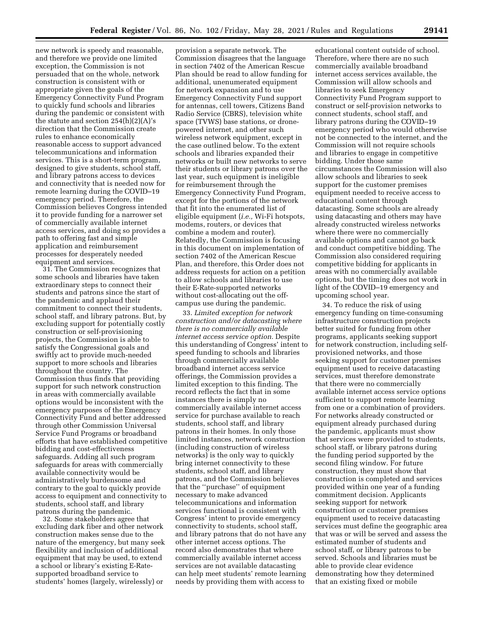new network is speedy and reasonable, and therefore we provide one limited exception, the Commission is not persuaded that on the whole, network construction is consistent with or appropriate given the goals of the Emergency Connectivity Fund Program to quickly fund schools and libraries during the pandemic or consistent with the statute and section  $254(h)(2)(A)$ 's direction that the Commission create rules to enhance economically reasonable access to support advanced telecommunications and information services. This is a short-term program, designed to give students, school staff, and library patrons access to devices and connectivity that is needed now for remote learning during the COVID–19 emergency period. Therefore, the Commission believes Congress intended it to provide funding for a narrower set of commercially available internet access services, and doing so provides a path to offering fast and simple application and reimbursement processes for desperately needed equipment and services.

31. The Commission recognizes that some schools and libraries have taken extraordinary steps to connect their students and patrons since the start of the pandemic and applaud their commitment to connect their students, school staff, and library patrons. But, by excluding support for potentially costly construction or self-provisioning projects, the Commission is able to satisfy the Congressional goals and swiftly act to provide much-needed support to more schools and libraries throughout the country. The Commission thus finds that providing support for such network construction in areas with commercially available options would be inconsistent with the emergency purposes of the Emergency Connectivity Fund and better addressed through other Commission Universal Service Fund Programs or broadband efforts that have established competitive bidding and cost-effectiveness safeguards. Adding all such program safeguards for areas with commercially available connectivity would be administratively burdensome and contrary to the goal to quickly provide access to equipment and connectivity to students, school staff, and library patrons during the pandemic.

32. Some stakeholders agree that excluding dark fiber and other network construction makes sense due to the nature of the emergency, but many seek flexibility and inclusion of additional equipment that may be used, to extend a school or library's existing E-Ratesupported broadband service to students' homes (largely, wirelessly) or

provision a separate network. The Commission disagrees that the language in section 7402 of the American Rescue Plan should be read to allow funding for additional, unenumerated equipment for network expansion and to use Emergency Connectivity Fund support for antennas, cell towers, Citizens Band Radio Service (CBRS), television white space (TVWS) base stations, or dronepowered internet, and other such wireless network equipment, except in the case outlined below. To the extent schools and libraries expanded their networks or built new networks to serve their students or library patrons over the last year, such equipment is ineligible for reimbursement through the Emergency Connectivity Fund Program, except for the portions of the network that fit into the enumerated list of eligible equipment (*i.e.,* Wi-Fi hotspots, modems, routers, or devices that combine a modem and router). Relatedly, the Commission is focusing in this document on implementation of section 7402 of the American Rescue Plan, and therefore, this Order does not address requests for action on a petition to allow schools and libraries to use their E-Rate-supported networks without cost-allocating out the offcampus use during the pandemic.

33. *Limited exception for network construction and/or datacasting where there is no commercially available internet access service option.* Despite this understanding of Congress' intent to speed funding to schools and libraries through commercially available broadband internet access service offerings, the Commission provides a limited exception to this finding. The record reflects the fact that in some instances there is simply no commercially available internet access service for purchase available to reach students, school staff, and library patrons in their homes. In only those limited instances, network construction (including construction of wireless networks) is the only way to quickly bring internet connectivity to these students, school staff, and library patrons, and the Commission believes that the ''purchase'' of equipment necessary to make advanced telecommunications and information services functional is consistent with Congress' intent to provide emergency connectivity to students, school staff, and library patrons that do not have any other internet access options. The record also demonstrates that where commercially available internet access services are not available datacasting can help meet students' remote learning needs by providing them with access to

educational content outside of school. Therefore, where there are no such commercially available broadband internet access services available, the Commission will allow schools and libraries to seek Emergency Connectivity Fund Program support to construct or self-provision networks to connect students, school staff, and library patrons during the COVID–19 emergency period who would otherwise not be connected to the internet, and the Commission will not require schools and libraries to engage in competitive bidding. Under those same circumstances the Commission will also allow schools and libraries to seek support for the customer premises equipment needed to receive access to educational content through datacasting. Some schools are already using datacasting and others may have already constructed wireless networks where there were no commercially available options and cannot go back and conduct competitive bidding. The Commission also considered requiring competitive bidding for applicants in areas with no commercially available options, but the timing does not work in light of the COVID–19 emergency and upcoming school year.

34. To reduce the risk of using emergency funding on time-consuming infrastructure construction projects better suited for funding from other programs, applicants seeking support for network construction, including selfprovisioned networks, and those seeking support for customer premises equipment used to receive datacasting services, must therefore demonstrate that there were no commercially available internet access service options sufficient to support remote learning from one or a combination of providers. For networks already constructed or equipment already purchased during the pandemic, applicants must show that services were provided to students, school staff, or library patrons during the funding period supported by the second filing window. For future construction, they must show that construction is completed and services provided within one year of a funding commitment decision. Applicants seeking support for network construction or customer premises equipment used to receive datacasting services must define the geographic area that was or will be served and assess the estimated number of students and school staff, or library patrons to be served. Schools and libraries must be able to provide clear evidence demonstrating how they determined that an existing fixed or mobile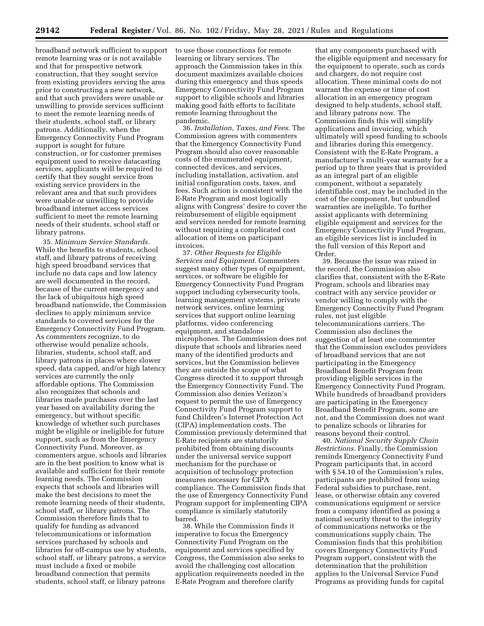broadband network sufficient to support remote learning was or is not available and that for prospective network construction, that they sought service from existing providers serving the area prior to constructing a new network, and that such providers were unable or unwilling to provide services sufficient to meet the remote learning needs of their students, school staff, or library patrons. Additionally, when the Emergency Connectivity Fund Program support is sought for future construction, or for customer premises equipment used to receive datacasting services, applicants will be required to certify that they sought service from existing service providers in the relevant area and that such providers were unable or unwilling to provide broadband internet access services sufficient to meet the remote learning needs of their students, school staff or library patrons.

35. *Minimum Service Standards.*  While the benefits to students, school staff, and library patrons of receiving high speed broadband services that include no data caps and low latency are well documented in the record, because of the current emergency and the lack of ubiquitous high speed broadband nationwide, the Commission declines to apply minimum service standards to covered services for the Emergency Connectivity Fund Program. As commenters recognize, to do otherwise would penalize schools, libraries, students, school staff, and library patrons in places where slower speed, data capped, and/or high latency services are currently the only affordable options. The Commission also recognizes that schools and libraries made purchases over the last year based on availability during the emergency, but without specific knowledge of whether such purchases might be eligible or ineligible for future support, such as from the Emergency Connectivity Fund. Moreover, as commenters argue, schools and libraries are in the best position to know what is available and sufficient for their remote learning needs. The Commission expects that schools and libraries will make the best decisions to meet the remote learning needs of their students, school staff, or library patrons. The Commission therefore finds that to qualify for funding as advanced telecommunications or information services purchased by schools and libraries for off-campus use by students, school staff, or library patrons, a service must include a fixed or mobile broadband connection that permits students, school staff, or library patrons

to use those connections for remote learning or library services. The approach the Commission takes in this document maximizes available choices during this emergency and thus speeds Emergency Connectivity Fund Program support to eligible schools and libraries making good faith efforts to facilitate remote learning throughout the pandemic.

36. *Installation, Taxes, and Fees.* The Commission agrees with commenters that the Emergency Connectivity Fund Program should also cover reasonable costs of the enumerated equipment, connected devices, and services, including installation, activation, and initial configuration costs, taxes, and fees. Such action is consistent with the E-Rate Program and most logically aligns with Congress' desire to cover the reimbursement of eligible equipment and services needed for remote learning without requiring a complicated cost allocation of items on participant invoices.

37. *Other Requests for Eligible Services and Equipment.* Commenters suggest many other types of equipment, services, or software be eligible for Emergency Connectivity Fund Program support including cybersecurity tools, learning management systems, private network services, online learning services that support online learning platforms, video conferencing equipment, and standalone microphones. The Commission does not dispute that schools and libraries need many of the identified products and services, but the Commission believes they are outside the scope of what Congress directed it to support through the Emergency Connectivity Fund. The Commission also denies Verizon's request to permit the use of Emergency Connectivity Fund Program support to fund Children's Internet Protection Act (CIPA) implementation costs. The Commission previously determined that E-Rate recipients are statutorily prohibited from obtaining discounts under the universal service support mechanism for the purchase or acquisition of technology protection measures necessary for CIPA compliance. The Commission finds that the use of Emergency Connectivity Fund Program support for implementing CIPA compliance is similarly statutorily barred.

38. While the Commission finds it imperative to focus the Emergency Connectivity Fund Program on the equipment and services specified by Congress, the Commission also seeks to avoid the challenging cost allocation application requirements needed in the E-Rate Program and therefore clarify

that any components purchased with the eligible equipment and necessary for the equipment to operate, such as cords and chargers, do not require cost allocation. These minimal costs do not warrant the expense or time of cost allocation in an emergency program designed to help students, school staff, and library patrons now. The Commission finds this will simplify applications and invoicing, which ultimately will speed funding to schools and libraries during this emergency. Consistent with the E-Rate Program, a manufacturer's multi-year warranty for a period up to three years that is provided as an integral part of an eligible component, without a separately identifiable cost, may be included in the cost of the component, but unbundled warranties are ineligible. To further assist applicants with determining eligible equipment and services for the Emergency Connectivity Fund Program, an eligible services list is included in the full version of this Report and Order.

39. Because the issue was raised in the record, the Commission also clarifies that, consistent with the E-Rate Program, schools and libraries may contract with any service provider or vendor willing to comply with the Emergency Connectivity Fund Program rules, not just eligible telecommunications carriers. The Commission also declines the suggestion of at least one commenter that the Commission excludes providers of broadband services that are not participating in the Emergency Broadband Benefit Program from providing eligible services in the Emergency Connectivity Fund Program. While hundreds of broadband providers are participating in the Emergency Broadband Benefit Program, some are not, and the Commission does not want to penalize schools or libraries for reasons beyond their control.

40. *National Security Supply Chain Restrictions.* Finally, the Commission reminds Emergency Connectivity Fund Program participants that, in accord with § 54.10 of the Commission's rules, participants are prohibited from using Federal subsidies to purchase, rent, lease, or otherwise obtain any covered communications equipment or service from a company identified as posing a national security threat to the integrity of communications networks or the communications supply chain. The Commission finds that this prohibition covers Emergency Connectivity Fund Program support, consistent with the determination that the prohibition applies to the Universal Service Fund Programs as providing funds for capital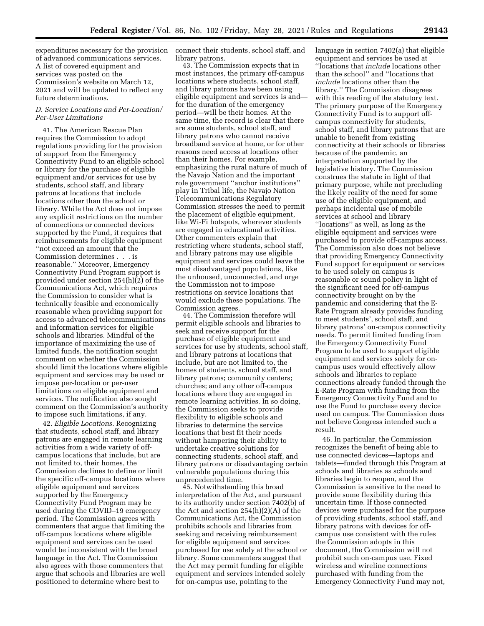expenditures necessary for the provision of advanced communications services. A list of covered equipment and services was posted on the Commission's website on March 12, 2021 and will be updated to reflect any future determinations.

# *D. Service Locations and Per-Location/ Per-User Limitations*

41. The American Rescue Plan requires the Commission to adopt regulations providing for the provision of support from the Emergency Connectivity Fund to an eligible school or library for the purchase of eligible equipment and/or services for use by students, school staff, and library patrons at locations that include locations other than the school or library. While the Act does not impose any explicit restrictions on the number of connections or connected devices supported by the Fund, it requires that reimbursements for eligible equipment ''not exceed an amount that the Commission determines . . . is reasonable.'' Moreover, Emergency Connectivity Fund Program support is provided under section 254(h)(2) of the Communications Act, which requires the Commission to consider what is technically feasible and economically reasonable when providing support for access to advanced telecommunications and information services for eligible schools and libraries. Mindful of the importance of maximizing the use of limited funds, the notification sought comment on whether the Commission should limit the locations where eligible equipment and services may be used or impose per-location or per-user limitations on eligible equipment and services. The notification also sought comment on the Commission's authority to impose such limitations, if any.

42. *Eligible Locations.* Recognizing that students, school staff, and library patrons are engaged in remote learning activities from a wide variety of offcampus locations that include, but are not limited to, their homes, the Commission declines to define or limit the specific off-campus locations where eligible equipment and services supported by the Emergency Connectivity Fund Program may be used during the COVID–19 emergency period. The Commission agrees with commenters that argue that limiting the off-campus locations where eligible equipment and services can be used would be inconsistent with the broad language in the Act. The Commission also agrees with those commenters that argue that schools and libraries are well positioned to determine where best to

connect their students, school staff, and library patrons.

43. The Commission expects that in most instances, the primary off-campus locations where students, school staff, and library patrons have been using eligible equipment and services is and for the duration of the emergency period—will be their homes. At the same time, the record is clear that there are some students, school staff, and library patrons who cannot receive broadband service at home, or for other reasons need access at locations other than their homes. For example, emphasizing the rural nature of much of the Navajo Nation and the important role government ''anchor institutions'' play in Tribal life, the Navajo Nation Telecommunications Regulatory Commission stresses the need to permit the placement of eligible equipment, like Wi-Fi hotspots, wherever students are engaged in educational activities. Other commenters explain that restricting where students, school staff, and library patrons may use eligible equipment and services could leave the most disadvantaged populations, like the unhoused, unconnected, and urge the Commission not to impose restrictions on service locations that would exclude these populations. The Commission agrees.

44. The Commission therefore will permit eligible schools and libraries to seek and receive support for the purchase of eligible equipment and services for use by students, school staff, and library patrons at locations that include, but are not limited to, the homes of students, school staff, and library patrons; community centers; churches; and any other off-campus locations where they are engaged in remote learning activities. In so doing, the Commission seeks to provide flexibility to eligible schools and libraries to determine the service locations that best fit their needs without hampering their ability to undertake creative solutions for connecting students, school staff, and library patrons or disadvantaging certain vulnerable populations during this unprecedented time.

45. Notwithstanding this broad interpretation of the Act, and pursuant to its authority under section 7402(b) of the Act and section 254(h)(2)(A) of the Communications Act, the Commission prohibits schools and libraries from seeking and receiving reimbursement for eligible equipment and services purchased for use solely at the school or library. Some commenters suggest that the Act may permit funding for eligible equipment and services intended solely for on-campus use, pointing to the

language in section 7402(a) that eligible equipment and services be used at ''locations that *include* locations other than the school'' and ''locations that *include* locations other than the library.'' The Commission disagrees with this reading of the statutory text. The primary purpose of the Emergency Connectivity Fund is to support offcampus connectivity for students, school staff, and library patrons that are unable to benefit from existing connectivity at their schools or libraries because of the pandemic, an interpretation supported by the legislative history. The Commission construes the statute in light of that primary purpose, while not precluding the likely reality of the need for some use of the eligible equipment, and perhaps incidental use of mobile services at school and library ''locations'' as well, as long as the eligible equipment and services were purchased to provide off-campus access. The Commission also does not believe that providing Emergency Connectivity Fund support for equipment or services to be used solely on campus is reasonable or sound policy in light of the significant need for off-campus connectivity brought on by the pandemic and considering that the E-Rate Program already provides funding to meet students', school staff, and library patrons' on-campus connectivity needs. To permit limited funding from the Emergency Connectivity Fund Program to be used to support eligible equipment and services solely for oncampus uses would effectively allow schools and libraries to replace connections already funded through the E-Rate Program with funding from the Emergency Connectivity Fund and to use the Fund to purchase every device used on campus. The Commission does not believe Congress intended such a result.

46. In particular, the Commission recognizes the benefit of being able to use connected devices—laptops and tablets—funded through this Program at schools and libraries as schools and libraries begin to reopen, and the Commission is sensitive to the need to provide some flexibility during this uncertain time. If those connected devices were purchased for the purpose of providing students, school staff, and library patrons with devices for offcampus use consistent with the rules the Commission adopts in this document, the Commission will not prohibit such on-campus use. Fixed wireless and wireline connections purchased with funding from the Emergency Connectivity Fund may not,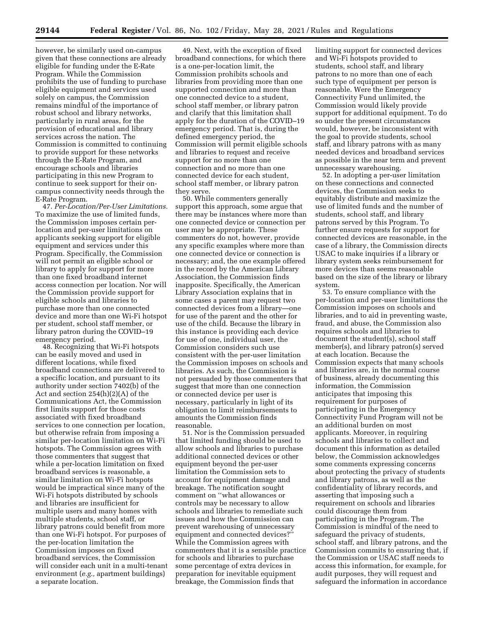however, be similarly used on-campus given that these connections are already eligible for funding under the E-Rate Program. While the Commission prohibits the use of funding to purchase eligible equipment and services used solely on campus, the Commission remains mindful of the importance of robust school and library networks, particularly in rural areas, for the provision of educational and library services across the nation. The Commission is committed to continuing to provide support for these networks through the E-Rate Program, and encourage schools and libraries participating in this new Program to continue to seek support for their oncampus connectivity needs through the E-Rate Program.

47. *Per-Location/Per-User Limitations.*  To maximize the use of limited funds, the Commission imposes certain perlocation and per-user limitations on applicants seeking support for eligible equipment and services under this Program. Specifically, the Commission will not permit an eligible school or library to apply for support for more than one fixed broadband internet access connection per location. Nor will the Commission provide support for eligible schools and libraries to purchase more than one connected device and more than one Wi-Fi hotspot per student, school staff member, or library patron during the COVID–19 emergency period.

48. Recognizing that Wi-Fi hotspots can be easily moved and used in different locations, while fixed broadband connections are delivered to a specific location, and pursuant to its authority under section 7402(b) of the Act and section 254(h)(2)(A) of the Communications Act, the Commission first limits support for those costs associated with fixed broadband services to one connection per location, but otherwise refrain from imposing a similar per-location limitation on Wi-Fi hotspots. The Commission agrees with those commenters that suggest that while a per-location limitation on fixed broadband services is reasonable, a similar limitation on Wi-Fi hotspots would be impractical since many of the Wi-Fi hotspots distributed by schools and libraries are insufficient for multiple users and many homes with multiple students, school staff, or library patrons could benefit from more than one Wi-Fi hotspot. For purposes of the per-location limitation the Commission imposes on fixed broadband services, the Commission will consider each unit in a multi-tenant environment (*e.g.,* apartment buildings) a separate location.

49. Next, with the exception of fixed broadband connections, for which there is a one-per-location limit, the Commission prohibits schools and libraries from providing more than one supported connection and more than one connected device to a student, school staff member, or library patron and clarify that this limitation shall apply for the duration of the COVID–19 emergency period. That is, during the defined emergency period, the Commission will permit eligible schools and libraries to request and receive support for no more than one connection and no more than one connected device for each student, school staff member, or library patron they serve.

50. While commenters generally support this approach, some argue that there may be instances where more than one connected device or connection per user may be appropriate. These commenters do not, however, provide any specific examples where more than one connected device or connection is necessary; and, the one example offered in the record by the American Library Association, the Commission finds inapposite. Specifically, the American Library Association explains that in some cases a parent may request two connected devices from a library—one for use of the parent and the other for use of the child. Because the library in this instance is providing each device for use of one, individual user, the Commission considers such use consistent with the per-user limitation the Commission imposes on schools and libraries. As such, the Commission is not persuaded by those commenters that suggest that more than one connection or connected device per user is necessary, particularly in light of its obligation to limit reimbursements to amounts the Commission finds reasonable.

51. Nor is the Commission persuaded that limited funding should be used to allow schools and libraries to purchase additional connected devices or other equipment beyond the per-user limitation the Commission sets to account for equipment damage and breakage. The notification sought comment on ''what allowances or controls may be necessary to allow schools and libraries to remediate such issues and how the Commission can prevent warehousing of unnecessary equipment and connected devices?'' While the Commission agrees with commenters that it is a sensible practice for schools and libraries to purchase some percentage of extra devices in preparation for inevitable equipment breakage, the Commission finds that

limiting support for connected devices and Wi-Fi hotspots provided to students, school staff, and library patrons to no more than one of each such type of equipment per person is reasonable. Were the Emergency Connectivity Fund unlimited, the Commission would likely provide support for additional equipment. To do so under the present circumstances would, however, be inconsistent with the goal to provide students, school staff, and library patrons with as many needed devices and broadband services as possible in the near term and prevent unnecessary warehousing.

52. In adopting a per-user limitation on these connections and connected devices, the Commission seeks to equitably distribute and maximize the use of limited funds and the number of students, school staff, and library patrons served by this Program. To further ensure requests for support for connected devices are reasonable, in the case of a library, the Commission directs USAC to make inquiries if a library or library system seeks reimbursement for more devices than seems reasonable based on the size of the library or library system.

53. To ensure compliance with the per-location and per-user limitations the Commission imposes on schools and libraries, and to aid in preventing waste, fraud, and abuse, the Commission also requires schools and libraries to document the student(s), school staff member(s), and library patron(s) served at each location. Because the Commission expects that many schools and libraries are, in the normal course of business, already documenting this information, the Commission anticipates that imposing this requirement for purposes of participating in the Emergency Connectivity Fund Program will not be an additional burden on most applicants. Moreover, in requiring schools and libraries to collect and document this information as detailed below, the Commission acknowledges some comments expressing concerns about protecting the privacy of students and library patrons, as well as the confidentiality of library records, and asserting that imposing such a requirement on schools and libraries could discourage them from participating in the Program. The Commission is mindful of the need to safeguard the privacy of students, school staff, and library patrons, and the Commission commits to ensuring that, if the Commission or USAC staff needs to access this information, for example, for audit purposes, they will request and safeguard the information in accordance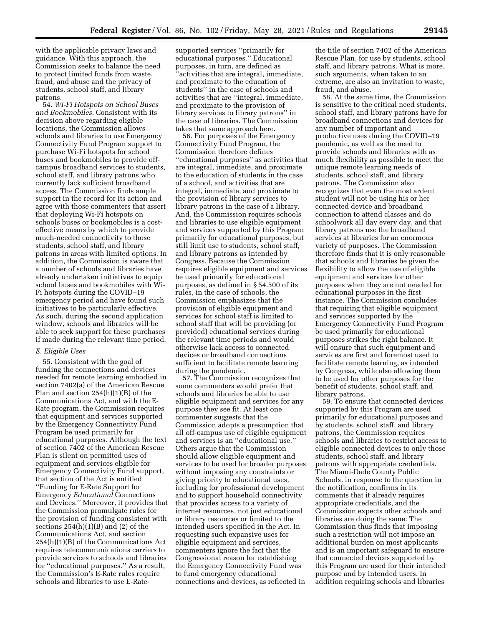with the applicable privacy laws and guidance. With this approach, the Commission seeks to balance the need to protect limited funds from waste, fraud, and abuse and the privacy of students, school staff, and library patrons.

54. *Wi-Fi Hotspots on School Buses and Bookmobiles.* Consistent with its decision above regarding eligible locations, the Commission allows schools and libraries to use Emergency Connectivity Fund Program support to purchase Wi-Fi hotspots for school buses and bookmobiles to provide offcampus broadband services to students, school staff, and library patrons who currently lack sufficient broadband access. The Commission finds ample support in the record for its action and agree with those commenters that assert that deploying Wi-Fi hotspots on schools buses or bookmobiles is a costeffective means by which to provide much-needed connectivity to those students, school staff, and library patrons in areas with limited options. In addition, the Commission is aware that a number of schools and libraries have already undertaken initiatives to equip school buses and bookmobiles with Wi-Fi hotspots during the COVID–19 emergency period and have found such initiatives to be particularly effective. As such, during the second application window, schools and libraries will be able to seek support for these purchases if made during the relevant time period.

### *E. Eligible Uses*

55. Consistent with the goal of funding the connections and devices needed for remote learning embodied in section 7402(a) of the American Rescue Plan and section 254(h)(1)(B) of the Communications Act, and with the E-Rate program, the Commission requires that equipment and services supported by the Emergency Connectivity Fund Program be used primarily for educational purposes. Although the text of section 7402 of the American Rescue Plan is silent on permitted uses of equipment and services eligible for Emergency Connectivity Fund support, that section of the Act is entitled ''Funding for E-Rate Support for Emergency *Educational* Connections and Devices.'' Moreover, it provides that the Commission promulgate rules for the provision of funding consistent with sections  $254(h)(1)(B)$  and  $(2)$  of the Communications Act, and section 254(h)(1)(B) of the Communications Act requires telecommunications carriers to provide services to schools and libraries for ''educational purposes.'' As a result, the Commission's E-Rate rules require schools and libraries to use E-Ratesupported services ''primarily for educational purposes.'' Educational purposes, in turn, are defined as 'activities that are integral, immediate, and proximate to the education of students'' in the case of schools and activities that are ''integral, immediate, and proximate to the provision of library services to library patrons'' in the case of libraries. The Commission takes that same approach here.

56. For purposes of the Emergency Connectivity Fund Program, the Commission therefore defines ''educational purposes'' as activities that are integral, immediate, and proximate to the education of students in the case of a school, and activities that are integral, immediate, and proximate to the provision of library services to library patrons in the case of a library. And, the Commission requires schools and libraries to use eligible equipment and services supported by this Program primarily for educational purposes, but still limit use to students, school staff, and library patrons as intended by Congress. Because the Commission requires eligible equipment and services be used primarily for educational purposes, as defined in § 54.500 of its rules, in the case of schools, the Commission emphasizes that the provision of eligible equipment and services for school staff is limited to school staff that will be providing (or provided) educational services during the relevant time periods and would otherwise lack access to connected devices or broadband connections sufficient to facilitate remote learning during the pandemic.

57. The Commission recognizes that some commenters would prefer that schools and libraries be able to use eligible equipment and services for any purpose they see fit. At least one commenter suggests that the Commission adopts a presumption that all off-campus use of eligible equipment and services is an ''educational use.'' Others argue that the Commission should allow eligible equipment and services to be used for broader purposes without imposing any constraints or giving priority to educational uses, including for professional development and to support household connectivity that provides access to a variety of internet resources, not just educational or library resources or limited to the intended users specified in the Act. In requesting such expansive uses for eligible equipment and services, commenters ignore the fact that the Congressional reason for establishing the Emergency Connectivity Fund was to fund emergency educational connections and devices, as reflected in

the title of section 7402 of the American Rescue Plan, for use by students, school staff, and library patrons. What is more, such arguments, when taken to an extreme, are also an invitation to waste, fraud, and abuse.

58. At the same time, the Commission is sensitive to the critical need students, school staff, and library patrons have for broadband connections and devices for any number of important and productive uses during the COVID–19 pandemic, as well as the need to provide schools and libraries with as much flexibility as possible to meet the unique remote learning needs of students, school staff, and library patrons. The Commission also recognizes that even the most ardent student will not be using his or her connected device and broadband connection to attend classes and do schoolwork all day every day, and that library patrons use the broadband services at libraries for an enormous variety of purposes. The Commission therefore finds that it is only reasonable that schools and libraries be given the flexibility to allow the use of eligible equipment and services for other purposes when they are not needed for educational purposes in the first instance. The Commission concludes that requiring that eligible equipment and services supported by the Emergency Connectivity Fund Program be used primarily for educational purposes strikes the right balance. It will ensure that such equipment and services are first and foremost used to facilitate remote learning, as intended by Congress, while also allowing them to be used for other purposes for the benefit of students, school staff, and library patrons.

59. To ensure that connected devices supported by this Program are used primarily for educational purposes and by students, school staff, and library patrons, the Commission requires schools and libraries to restrict access to eligible connected devices to only those students, school staff, and library patrons with appropriate credentials. The Miami-Dade County Public Schools, in response to the question in the notification, confirms in its comments that it already requires appropriate credentials, and the Commission expects other schools and libraries are doing the same. The Commission thus finds that imposing such a restriction will not impose an additional burden on most applicants and is an important safeguard to ensure that connected devices supported by this Program are used for their intended purpose and by intended users. In addition requiring schools and libraries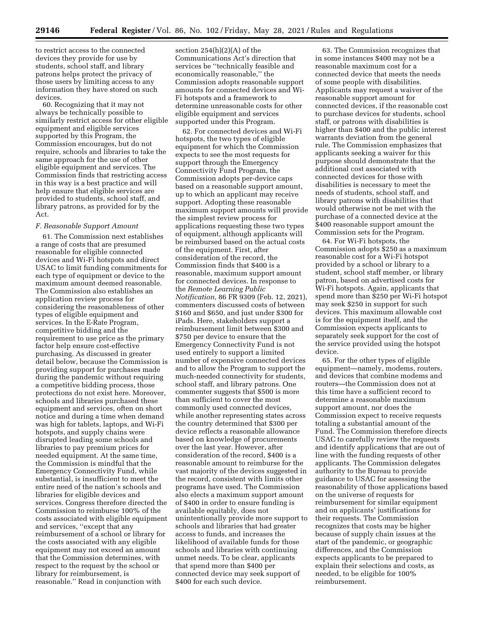to restrict access to the connected devices they provide for use by students, school staff, and library patrons helps protect the privacy of those users by limiting access to any information they have stored on such devices.

60. Recognizing that it may not always be technically possible to similarly restrict access for other eligible equipment and eligible services supported by this Program, the Commission encourages, but do not require, schools and libraries to take the same approach for the use of other eligible equipment and services. The Commission finds that restricting access in this way is a best practice and will help ensure that eligible services are provided to students, school staff, and library patrons, as provided for by the Act.

## *F. Reasonable Support Amount*

61. The Commission next establishes a range of costs that are presumed reasonable for eligible connected devices and Wi-Fi hotspots and direct USAC to limit funding commitments for each type of equipment or device to the maximum amount deemed reasonable. The Commission also establishes an application review process for considering the reasonableness of other types of eligible equipment and services. In the E-Rate Program, competitive bidding and the requirement to use price as the primary factor help ensure cost-effective purchasing. As discussed in greater detail below, because the Commission is providing support for purchases made during the pandemic without requiring a competitive bidding process, those protections do not exist here. Moreover, schools and libraries purchased these equipment and services, often on short notice and during a time when demand was high for tablets, laptops, and Wi-Fi hotspots, and supply chains were disrupted leading some schools and libraries to pay premium prices for needed equipment. At the same time, the Commission is mindful that the Emergency Connectivity Fund, while substantial, is insufficient to meet the entire need of the nation's schools and libraries for eligible devices and services. Congress therefore directed the Commission to reimburse 100% of the costs associated with eligible equipment and services, ''except that any reimbursement of a school or library for the costs associated with any eligible equipment may not exceed an amount that the Commission determines, with respect to the request by the school or library for reimbursement, is reasonable.'' Read in conjunction with

section 254(h)(2)(A) of the Communications Act's direction that services be ''technically feasible and economically reasonable,'' the Commission adopts reasonable support amounts for connected devices and Wi-Fi hotspots and a framework to determine unreasonable costs for other eligible equipment and services supported under this Program.

62. For connected devices and Wi-Fi hotspots, the two types of eligible equipment for which the Commission expects to see the most requests for support through the Emergency Connectivity Fund Program, the Commission adopts per-device caps based on a reasonable support amount, up to which an applicant may receive support. Adopting these reasonable maximum support amounts will provide the simplest review process for applications requesting these two types of equipment, although applicants will be reimbursed based on the actual costs of the equipment. First, after consideration of the record, the Commission finds that \$400 is a reasonable, maximum support amount for connected devices. In response to the *Remote Learning Public Notification,* 86 FR 9309 (Feb. 12, 2021), commenters discussed costs of between \$160 and \$650, and just under \$300 for iPads. Here, stakeholders support a reimbursement limit between \$300 and \$750 per device to ensure that the Emergency Connectivity Fund is not used entirely to support a limited number of expensive connected devices and to allow the Program to support the much-needed connectivity for students, school staff, and library patrons. One commenter suggests that \$500 is more than sufficient to cover the most commonly used connected devices, while another representing states across the country determined that \$300 per device reflects a reasonable allowance based on knowledge of procurements over the last year. However, after consideration of the record, \$400 is a reasonable amount to reimburse for the vast majority of the devices suggested in the record, consistent with limits other programs have used. The Commission also elects a maximum support amount of \$400 in order to ensure funding is available equitably, does not unintentionally provide more support to schools and libraries that had greater access to funds, and increases the likelihood of available funds for those schools and libraries with continuing unmet needs. To be clear, applicants that spend more than \$400 per connected device may seek support of \$400 for each such device.

63. The Commission recognizes that in some instances \$400 may not be a reasonable maximum cost for a connected device that meets the needs of some people with disabilities. Applicants may request a waiver of the reasonable support amount for connected devices, if the reasonable cost to purchase devices for students, school staff, or patrons with disabilities is higher than \$400 and the public interest warrants deviation from the general rule. The Commission emphasizes that applicants seeking a waiver for this purpose should demonstrate that the additional cost associated with connected devices for those with disabilities is necessary to meet the needs of students, school staff, and library patrons with disabilities that would otherwise not be met with the purchase of a connected device at the \$400 reasonable support amount the Commission sets for the Program.

64. For Wi-Fi hotspots, the Commission adopts \$250 as a maximum reasonable cost for a Wi-Fi hotspot provided by a school or library to a student, school staff member, or library patron, based on advertised costs for Wi-Fi hotspots. Again, applicants that spend more than \$250 per Wi-Fi hotspot may seek \$250 in support for such devices. This maximum allowable cost is for the equipment itself, and the Commission expects applicants to separately seek support for the cost of the service provided using the hotspot device.

65. For the other types of eligible equipment—namely, modems, routers, and devices that combine modems and routers—the Commission does not at this time have a sufficient record to determine a reasonable maximum support amount, nor does the Commission expect to receive requests totaling a substantial amount of the Fund. The Commission therefore directs USAC to carefully review the requests and identify applications that are out of line with the funding requests of other applicants. The Commission delegates authority to the Bureau to provide guidance to USAC for assessing the reasonability of those applications based on the universe of requests for reimbursement for similar equipment and on applicants' justifications for their requests. The Commission recognizes that costs may be higher because of supply chain issues at the start of the pandemic, or geographic differences, and the Commission expects applicants to be prepared to explain their selections and costs, as needed, to be eligible for 100% reimbursement.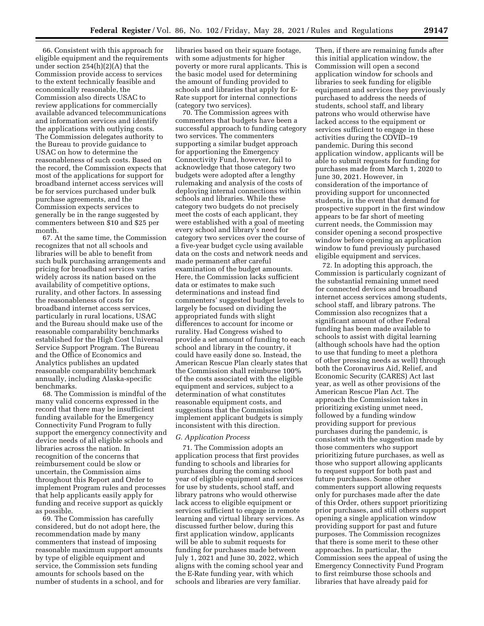66. Consistent with this approach for eligible equipment and the requirements under section 254(h)(2)(A) that the Commission provide access to services to the extent technically feasible and economically reasonable, the Commission also directs USAC to review applications for commercially available advanced telecommunications and information services and identify the applications with outlying costs. The Commission delegates authority to the Bureau to provide guidance to USAC on how to determine the reasonableness of such costs. Based on the record, the Commission expects that most of the applications for support for broadband internet access services will be for services purchased under bulk purchase agreements, and the Commission expects services to generally be in the range suggested by commenters between \$10 and \$25 per month.

67. At the same time, the Commission recognizes that not all schools and libraries will be able to benefit from such bulk purchasing arrangements and pricing for broadband services varies widely across its nation based on the availability of competitive options, rurality, and other factors. In assessing the reasonableness of costs for broadband internet access services, particularly in rural locations, USAC and the Bureau should make use of the reasonable comparability benchmarks established for the High Cost Universal Service Support Program. The Bureau and the Office of Economics and Analytics publishes an updated reasonable comparability benchmark annually, including Alaska-specific benchmarks.

68. The Commission is mindful of the many valid concerns expressed in the record that there may be insufficient funding available for the Emergency Connectivity Fund Program to fully support the emergency connectivity and device needs of all eligible schools and libraries across the nation. In recognition of the concerns that reimbursement could be slow or uncertain, the Commission aims throughout this Report and Order to implement Program rules and processes that help applicants easily apply for funding and receive support as quickly as possible.

69. The Commission has carefully considered, but do not adopt here, the recommendation made by many commenters that instead of imposing reasonable maximum support amounts by type of eligible equipment and service, the Commission sets funding amounts for schools based on the number of students in a school, and for

libraries based on their square footage, with some adjustments for higher poverty or more rural applicants. This is the basic model used for determining the amount of funding provided to schools and libraries that apply for E-Rate support for internal connections (category two services).

70. The Commission agrees with commenters that budgets have been a successful approach to funding category two services. The commenters supporting a similar budget approach for apportioning the Emergency Connectivity Fund, however, fail to acknowledge that those category two budgets were adopted after a lengthy rulemaking and analysis of the costs of deploying internal connections within schools and libraries. While these category two budgets do not precisely meet the costs of each applicant, they were established with a goal of meeting every school and library's need for category two services over the course of a five-year budget cycle using available data on the costs and network needs and made permanent after careful examination of the budget amounts. Here, the Commission lacks sufficient data or estimates to make such determinations and instead find commenters' suggested budget levels to largely be focused on dividing the appropriated funds with slight differences to account for income or rurality. Had Congress wished to provide a set amount of funding to each school and library in the country, it could have easily done so. Instead, the American Rescue Plan clearly states that the Commission shall reimburse 100% of the costs associated with the eligible equipment and services, subject to a determination of what constitutes reasonable equipment costs, and suggestions that the Commission implement applicant budgets is simply inconsistent with this direction.

# *G. Application Process*

71. The Commission adopts an application process that first provides funding to schools and libraries for purchases during the coming school year of eligible equipment and services for use by students, school staff, and library patrons who would otherwise lack access to eligible equipment or services sufficient to engage in remote learning and virtual library services. As discussed further below, during this first application window, applicants will be able to submit requests for funding for purchases made between July 1, 2021 and June 30, 2022, which aligns with the coming school year and the E-Rate funding year, with which schools and libraries are very familiar.

Then, if there are remaining funds after this initial application window, the Commission will open a second application window for schools and libraries to seek funding for eligible equipment and services they previously purchased to address the needs of students, school staff, and library patrons who would otherwise have lacked access to the equipment or services sufficient to engage in these activities during the COVID–19 pandemic. During this second application window, applicants will be able to submit requests for funding for purchases made from March 1, 2020 to June 30, 2021. However, in consideration of the importance of providing support for unconnected students, in the event that demand for prospective support in the first window appears to be far short of meeting current needs, the Commission may consider opening a second prospective window before opening an application window to fund previously purchased eligible equipment and services.

72. In adopting this approach, the Commission is particularly cognizant of the substantial remaining unmet need for connected devices and broadband internet access services among students, school staff, and library patrons. The Commission also recognizes that a significant amount of other Federal funding has been made available to schools to assist with digital learning (although schools have had the option to use that funding to meet a plethora of other pressing needs as well) through both the Coronavirus Aid, Relief, and Economic Security (CARES) Act last year, as well as other provisions of the American Rescue Plan Act. The approach the Commission takes in prioritizing existing unmet need, followed by a funding window providing support for previous purchases during the pandemic, is consistent with the suggestion made by those commenters who support prioritizing future purchases, as well as those who support allowing applicants to request support for both past and future purchases. Some other commenters support allowing requests only for purchases made after the date of this Order, others support prioritizing prior purchases, and still others support opening a single application window providing support for past and future purposes. The Commission recognizes that there is some merit to these other approaches. In particular, the Commission sees the appeal of using the Emergency Connectivity Fund Program to first reimburse those schools and libraries that have already paid for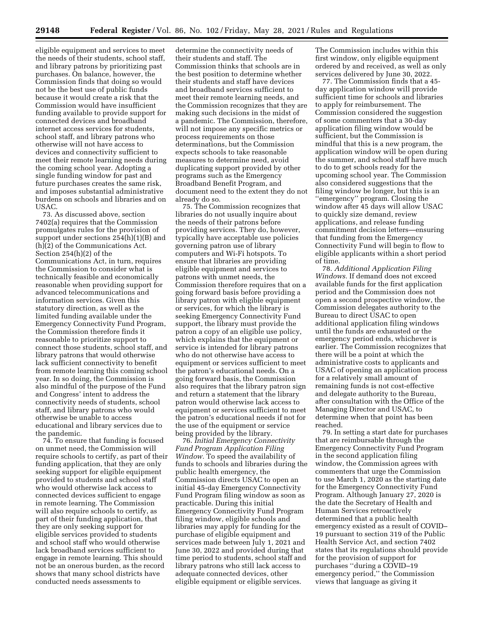eligible equipment and services to meet the needs of their students, school staff, and library patrons by prioritizing past purchases. On balance, however, the Commission finds that doing so would not be the best use of public funds because it would create a risk that the Commission would have insufficient funding available to provide support for connected devices and broadband internet access services for students, school staff, and library patrons who otherwise will not have access to devices and connectivity sufficient to meet their remote learning needs during the coming school year. Adopting a single funding window for past and future purchases creates the same risk, and imposes substantial administrative burdens on schools and libraries and on USAC.

73. As discussed above, section 7402(a) requires that the Commission promulgates rules for the provision of support under sections 254(h)(1)(B) and (h)(2) of the Communications Act. Section 254(h)(2) of the Communications Act, in turn, requires the Commission to consider what is technically feasible and economically reasonable when providing support for advanced telecommunications and information services. Given this statutory direction, as well as the limited funding available under the Emergency Connectivity Fund Program, the Commission therefore finds it reasonable to prioritize support to connect those students, school staff, and library patrons that would otherwise lack sufficient connectivity to benefit from remote learning this coming school year. In so doing, the Commission is also mindful of the purpose of the Fund and Congress' intent to address the connectivity needs of students, school staff, and library patrons who would otherwise be unable to access educational and library services due to the pandemic.

74. To ensure that funding is focused on unmet need, the Commission will require schools to certify, as part of their funding application, that they are only seeking support for eligible equipment provided to students and school staff who would otherwise lack access to connected devices sufficient to engage in remote learning. The Commission will also require schools to certify, as part of their funding application, that they are only seeking support for eligible services provided to students and school staff who would otherwise lack broadband services sufficient to engage in remote learning. This should not be an onerous burden, as the record shows that many school districts have conducted needs assessments to

determine the connectivity needs of their students and staff. The Commission thinks that schools are in the best position to determine whether their students and staff have devices and broadband services sufficient to meet their remote learning needs, and the Commission recognizes that they are making such decisions in the midst of a pandemic. The Commission, therefore, will not impose any specific metrics or process requirements on those determinations, but the Commission expects schools to take reasonable measures to determine need, avoid duplicating support provided by other programs such as the Emergency Broadband Benefit Program, and document need to the extent they do not already do so.

75. The Commission recognizes that libraries do not usually inquire about the needs of their patrons before providing services. They do, however, typically have acceptable use policies governing patron use of library computers and Wi-Fi hotspots. To ensure that libraries are providing eligible equipment and services to patrons with unmet needs, the Commission therefore requires that on a going forward basis before providing a library patron with eligible equipment or services, for which the library is seeking Emergency Connectivity Fund support, the library must provide the patron a copy of an eligible use policy, which explains that the equipment or service is intended for library patrons who do not otherwise have access to equipment or services sufficient to meet the patron's educational needs. On a going forward basis, the Commission also requires that the library patron sign and return a statement that the library patron would otherwise lack access to equipment or services sufficient to meet the patron's educational needs if not for the use of the equipment or service being provided by the library.

76. *Initial Emergency Connectivity Fund Program Application Filing Window.* To speed the availability of funds to schools and libraries during the public health emergency, the Commission directs USAC to open an initial 45-day Emergency Connectivity Fund Program filing window as soon as practicable. During this initial Emergency Connectivity Fund Program filing window, eligible schools and libraries may apply for funding for the purchase of eligible equipment and services made between July 1, 2021 and June 30, 2022 and provided during that time period to students, school staff and library patrons who still lack access to adequate connected devices, other eligible equipment or eligible services.

The Commission includes within this first window, only eligible equipment ordered by and received, as well as only services delivered by June 30, 2022.

77. The Commission finds that a 45 day application window will provide sufficient time for schools and libraries to apply for reimbursement. The Commission considered the suggestion of some commenters that a 30-day application filing window would be sufficient, but the Commission is mindful that this is a new program, the application window will be open during the summer, and school staff have much to do to get schools ready for the upcoming school year. The Commission also considered suggestions that the filing window be longer, but this is an ''emergency'' program. Closing the window after 45 days will allow USAC to quickly size demand, review applications, and release funding commitment decision letters—ensuring that funding from the Emergency Connectivity Fund will begin to flow to eligible applicants within a short period of time.

78. *Additional Application Filing Windows.* If demand does not exceed available funds for the first application period and the Commission does not open a second prospective window, the Commission delegates authority to the Bureau to direct USAC to open additional application filing windows until the funds are exhausted or the emergency period ends, whichever is earlier. The Commission recognizes that there will be a point at which the administrative costs to applicants and USAC of opening an application process for a relatively small amount of remaining funds is not cost-effective and delegate authority to the Bureau, after consultation with the Office of the Managing Director and USAC, to determine when that point has been reached.

79. In setting a start date for purchases that are reimbursable through the Emergency Connectivity Fund Program in the second application filing window, the Commission agrees with commenters that urge the Commission to use March 1, 2020 as the starting date for the Emergency Connectivity Fund Program. Although January 27, 2020 is the date the Secretary of Health and Human Services retroactively determined that a public health emergency existed as a result of COVID– 19 pursuant to section 319 of the Public Health Service Act, and section 7402 states that its regulations should provide for the provision of support for purchases ''during a COVID–19 emergency period,'' the Commission views that language as giving it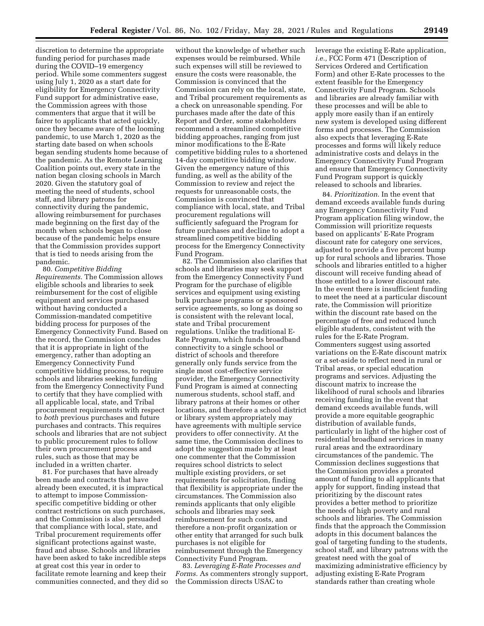discretion to determine the appropriate funding period for purchases made during the COVID–19 emergency period. While some commenters suggest using July 1, 2020 as a start date for eligibility for Emergency Connectivity Fund support for administrative ease, the Commission agrees with those commenters that argue that it will be fairer to applicants that acted quickly, once they became aware of the looming pandemic, to use March 1, 2020 as the starting date based on when schools began sending students home because of the pandemic. As the Remote Learning Coalition points out, every state in the nation began closing schools in March 2020. Given the statutory goal of meeting the need of students, school staff, and library patrons for connectivity during the pandemic, allowing reimbursement for purchases made beginning on the first day of the month when schools began to close because of the pandemic helps ensure that the Commission provides support that is tied to needs arising from the pandemic.

80. *Competitive Bidding Requirements.* The Commission allows eligible schools and libraries to seek reimbursement for the cost of eligible equipment and services purchased without having conducted a Commission-mandated competitive bidding process for purposes of the Emergency Connectivity Fund. Based on the record, the Commission concludes that it is appropriate in light of the emergency, rather than adopting an Emergency Connectivity Fund competitive bidding process, to require schools and libraries seeking funding from the Emergency Connectivity Fund to certify that they have complied with all applicable local, state, and Tribal procurement requirements with respect to *both* previous purchases and future purchases and contracts. This requires schools and libraries that are not subject to public procurement rules to follow their own procurement process and rules, such as those that may be included in a written charter.

81. For purchases that have already been made and contracts that have already been executed, it is impractical to attempt to impose Commissionspecific competitive bidding or other contract restrictions on such purchases, and the Commission is also persuaded that compliance with local, state, and Tribal procurement requirements offer significant protections against waste, fraud and abuse. Schools and libraries have been asked to take incredible steps at great cost this year in order to facilitate remote learning and keep their communities connected, and they did so

without the knowledge of whether such expenses would be reimbursed. While such expenses will still be reviewed to ensure the costs were reasonable, the Commission is convinced that the Commission can rely on the local, state, and Tribal procurement requirements as a check on unreasonable spending. For purchases made after the date of this Report and Order, some stakeholders recommend a streamlined competitive bidding approaches, ranging from just minor modifications to the E-Rate competitive bidding rules to a shortened 14-day competitive bidding window. Given the emergency nature of this funding, as well as the ability of the Commission to review and reject the requests for unreasonable costs, the Commission is convinced that compliance with local, state, and Tribal procurement regulations will sufficiently safeguard the Program for future purchases and decline to adopt a streamlined competitive bidding process for the Emergency Connectivity Fund Program.

82. The Commission also clarifies that schools and libraries may seek support from the Emergency Connectivity Fund Program for the purchase of eligible services and equipment using existing bulk purchase programs or sponsored service agreements, so long as doing so is consistent with the relevant local, state and Tribal procurement regulations. Unlike the traditional E-Rate Program, which funds broadband connectivity to a single school or district of schools and therefore generally only funds service from the single most cost-effective service provider, the Emergency Connectivity Fund Program is aimed at connecting numerous students, school staff, and library patrons at their homes or other locations, and therefore a school district or library system appropriately may have agreements with multiple service providers to offer connectivity. At the same time, the Commission declines to adopt the suggestion made by at least one commenter that the Commission requires school districts to select multiple existing providers, or set requirements for solicitation, finding that flexibility is appropriate under the circumstances. The Commission also reminds applicants that only eligible schools and libraries may seek reimbursement for such costs, and therefore a non-profit organization or other entity that arranged for such bulk purchases is not eligible for reimbursement through the Emergency Connectivity Fund Program.

83. *Leveraging E-Rate Processes and Forms.* As commenters strongly support, the Commission directs USAC to

leverage the existing E-Rate application, *i.e.,* FCC Form 471 (Description of Services Ordered and Certification Form) and other E-Rate processes to the extent feasible for the Emergency Connectivity Fund Program. Schools and libraries are already familiar with these processes and will be able to apply more easily than if an entirely new system is developed using different forms and processes. The Commission also expects that leveraging E-Rate processes and forms will likely reduce administrative costs and delays in the Emergency Connectivity Fund Program and ensure that Emergency Connectivity Fund Program support is quickly released to schools and libraries.

84. *Prioritization.* In the event that demand exceeds available funds during any Emergency Connectivity Fund Program application filing window, the Commission will prioritize requests based on applicants' E-Rate Program discount rate for category one services, adjusted to provide a five percent bump up for rural schools and libraries. Those schools and libraries entitled to a higher discount will receive funding ahead of those entitled to a lower discount rate. In the event there is insufficient funding to meet the need at a particular discount rate, the Commission will prioritize within the discount rate based on the percentage of free and reduced lunch eligible students, consistent with the rules for the E-Rate Program. Commenters suggest using assorted variations on the E-Rate discount matrix or a set-aside to reflect need in rural or Tribal areas, or special education programs and services. Adjusting the discount matrix to increase the likelihood of rural schools and libraries receiving funding in the event that demand exceeds available funds, will provide a more equitable geographic distribution of available funds, particularly in light of the higher cost of residential broadband services in many rural areas and the extraordinary circumstances of the pandemic. The Commission declines suggestions that the Commission provides a prorated amount of funding to all applicants that apply for support, finding instead that prioritizing by the discount rates provides a better method to prioritize the needs of high poverty and rural schools and libraries. The Commission finds that the approach the Commission adopts in this document balances the goal of targeting funding to the students, school staff, and library patrons with the greatest need with the goal of maximizing administrative efficiency by adjusting existing E-Rate Program standards rather than creating whole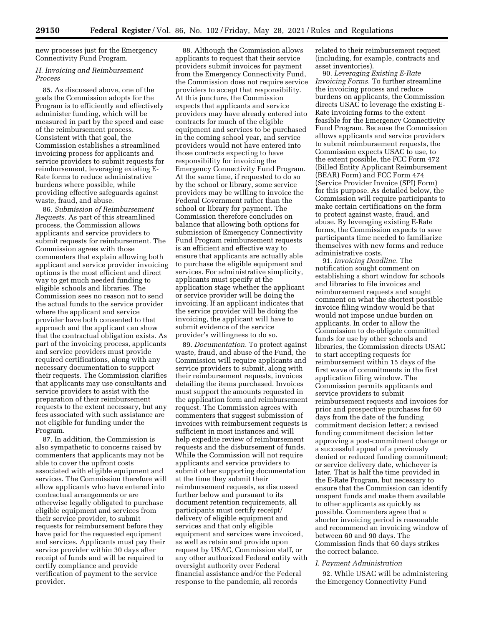new processes just for the Emergency Connectivity Fund Program.

# *H. Invoicing and Reimbursement Process*

85. As discussed above, one of the goals the Commission adopts for the Program is to efficiently and effectively administer funding, which will be measured in part by the speed and ease of the reimbursement process. Consistent with that goal, the Commission establishes a streamlined invoicing process for applicants and service providers to submit requests for reimbursement, leveraging existing E-Rate forms to reduce administrative burdens where possible, while providing effective safeguards against waste, fraud, and abuse.

86. *Submission of Reimbursement Requests.* As part of this streamlined process, the Commission allows applicants and service providers to submit requests for reimbursement. The Commission agrees with those commenters that explain allowing both applicant and service provider invoicing options is the most efficient and direct way to get much needed funding to eligible schools and libraries. The Commission sees no reason not to send the actual funds to the service provider where the applicant and service provider have both consented to that approach and the applicant can show that the contractual obligation exists. As part of the invoicing process, applicants and service providers must provide required certifications, along with any necessary documentation to support their requests. The Commission clarifies that applicants may use consultants and service providers to assist with the preparation of their reimbursement requests to the extent necessary, but any fees associated with such assistance are not eligible for funding under the Program.

87. In addition, the Commission is also sympathetic to concerns raised by commenters that applicants may not be able to cover the upfront costs associated with eligible equipment and services. The Commission therefore will allow applicants who have entered into contractual arrangements or are otherwise legally obligated to purchase eligible equipment and services from their service provider, to submit requests for reimbursement before they have paid for the requested equipment and services. Applicants must pay their service provider within 30 days after receipt of funds and will be required to certify compliance and provide verification of payment to the service provider.

88. Although the Commission allows applicants to request that their service providers submit invoices for payment from the Emergency Connectivity Fund, the Commission does not require service providers to accept that responsibility. At this juncture, the Commission expects that applicants and service providers may have already entered into contracts for much of the eligible equipment and services to be purchased in the coming school year, and service providers would not have entered into those contracts expecting to have responsibility for invoicing the Emergency Connectivity Fund Program. At the same time, if requested to do so by the school or library, some service providers may be willing to invoice the Federal Government rather than the school or library for payment. The Commission therefore concludes on balance that allowing both options for submission of Emergency Connectivity Fund Program reimbursement requests is an efficient and effective way to ensure that applicants are actually able to purchase the eligible equipment and services. For administrative simplicity, applicants must specify at the application stage whether the applicant or service provider will be doing the invoicing. If an applicant indicates that the service provider will be doing the invoicing, the applicant will have to submit evidence of the service provider's willingness to do so.

89. *Documentation.* To protect against waste, fraud, and abuse of the Fund, the Commission will require applicants and service providers to submit, along with their reimbursement requests, invoices detailing the items purchased. Invoices must support the amounts requested in the application form and reimbursement request. The Commission agrees with commenters that suggest submission of invoices with reimbursement requests is sufficient in most instances and will help expedite review of reimbursement requests and the disbursement of funds. While the Commission will not require applicants and service providers to submit other supporting documentation at the time they submit their reimbursement requests, as discussed further below and pursuant to its document retention requirements, all participants must certify receipt/ delivery of eligible equipment and services and that only eligible equipment and services were invoiced, as well as retain and provide upon request by USAC, Commission staff, or any other authorized Federal entity with oversight authority over Federal financial assistance and/or the Federal response to the pandemic, all records

related to their reimbursement request (including, for example, contracts and asset inventories).

90. *Leveraging Existing E-Rate Invoicing Forms.* To further streamline the invoicing process and reduce burdens on applicants, the Commission directs USAC to leverage the existing E-Rate invoicing forms to the extent feasible for the Emergency Connectivity Fund Program. Because the Commission allows applicants and service providers to submit reimbursement requests, the Commission expects USAC to use, to the extent possible, the FCC Form 472 (Billed Entity Applicant Reimbursement (BEAR) Form) and FCC Form 474 (Service Provider Invoice (SPI) Form) for this purpose. As detailed below, the Commission will require participants to make certain certifications on the form to protect against waste, fraud, and abuse. By leveraging existing E-Rate forms, the Commission expects to save participants time needed to familiarize themselves with new forms and reduce administrative costs.

91. *Invoicing Deadline.* The notification sought comment on establishing a short window for schools and libraries to file invoices and reimbursement requests and sought comment on what the shortest possible invoice filing window would be that would not impose undue burden on applicants. In order to allow the Commission to de-obligate committed funds for use by other schools and libraries, the Commission directs USAC to start accepting requests for reimbursement within 15 days of the first wave of commitments in the first application filing window. The Commission permits applicants and service providers to submit reimbursement requests and invoices for prior and prospective purchases for 60 days from the date of the funding commitment decision letter; a revised funding commitment decision letter approving a post-commitment change or a successful appeal of a previously denied or reduced funding commitment; or service delivery date, whichever is later. That is half the time provided in the E-Rate Program, but necessary to ensure that the Commission can identify unspent funds and make them available to other applicants as quickly as possible. Commenters agree that a shorter invoicing period is reasonable and recommend an invoicing window of between 60 and 90 days. The Commission finds that 60 days strikes the correct balance.

#### *I. Payment Administration*

92. While USAC will be administering the Emergency Connectivity Fund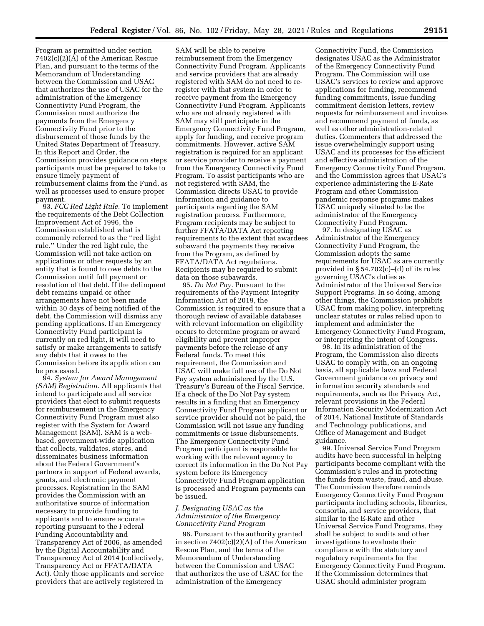Program as permitted under section 7402(c)(2)(A) of the American Rescue Plan, and pursuant to the terms of the Memorandum of Understanding between the Commission and USAC that authorizes the use of USAC for the administration of the Emergency Connectivity Fund Program, the Commission must authorize the payments from the Emergency Connectivity Fund prior to the disbursement of those funds by the United States Department of Treasury. In this Report and Order, the Commission provides guidance on steps participants must be prepared to take to ensure timely payment of reimbursement claims from the Fund, as well as processes used to ensure proper payment.

93. *FCC Red Light Rule.* To implement the requirements of the Debt Collection Improvement Act of 1996, the Commission established what is commonly referred to as the ''red light rule.'' Under the red light rule, the Commission will not take action on applications or other requests by an entity that is found to owe debts to the Commission until full payment or resolution of that debt. If the delinquent debt remains unpaid or other arrangements have not been made within 30 days of being notified of the debt, the Commission will dismiss any pending applications. If an Emergency Connectivity Fund participant is currently on red light, it will need to satisfy or make arrangements to satisfy any debts that it owes to the Commission before its application can be processed.

94. *System for Award Management (SAM) Registration.* All applicants that intend to participate and all service providers that elect to submit requests for reimbursement in the Emergency Connectivity Fund Program must also register with the System for Award Management (SAM). SAM is a webbased, government-wide application that collects, validates, stores, and disseminates business information about the Federal Government's partners in support of Federal awards, grants, and electronic payment processes. Registration in the SAM provides the Commission with an authoritative source of information necessary to provide funding to applicants and to ensure accurate reporting pursuant to the Federal Funding Accountability and Transparency Act of 2006, as amended by the Digital Accountability and Transparency Act of 2014 (collectively, Transparency Act or FFATA/DATA Act). Only those applicants and service providers that are actively registered in

SAM will be able to receive reimbursement from the Emergency Connectivity Fund Program. Applicants and service providers that are already registered with SAM do not need to reregister with that system in order to receive payment from the Emergency Connectivity Fund Program. Applicants who are not already registered with SAM may still participate in the Emergency Connectivity Fund Program, apply for funding, and receive program commitments. However, active SAM registration is required for an applicant or service provider to receive a payment from the Emergency Connectivity Fund Program. To assist participants who are not registered with SAM, the Commission directs USAC to provide information and guidance to participants regarding the SAM registration process. Furthermore, Program recipients may be subject to further FFATA/DATA Act reporting requirements to the extent that awardees subaward the payments they receive from the Program, as defined by FFATA/DATA Act regulations. Recipients may be required to submit data on those subawards.

95. *Do Not Pay.* Pursuant to the requirements of the Payment Integrity Information Act of 2019, the Commission is required to ensure that a thorough review of available databases with relevant information on eligibility occurs to determine program or award eligibility and prevent improper payments before the release of any Federal funds. To meet this requirement, the Commission and USAC will make full use of the Do Not Pay system administered by the U.S. Treasury's Bureau of the Fiscal Service. If a check of the Do Not Pay system results in a finding that an Emergency Connectivity Fund Program applicant or service provider should not be paid, the Commission will not issue any funding commitments or issue disbursements. The Emergency Connectivity Fund Program participant is responsible for working with the relevant agency to correct its information in the Do Not Pay system before its Emergency Connectivity Fund Program application is processed and Program payments can be issued.

# *J. Designating USAC as the Administrator of the Emergency Connectivity Fund Program*

96. Pursuant to the authority granted in section  $7402(c)(2)(A)$  of the American Rescue Plan, and the terms of the Memorandum of Understanding between the Commission and USAC that authorizes the use of USAC for the administration of the Emergency

Connectivity Fund, the Commission designates USAC as the Administrator of the Emergency Connectivity Fund Program. The Commission will use USAC's services to review and approve applications for funding, recommend funding commitments, issue funding commitment decision letters, review requests for reimbursement and invoices and recommend payment of funds, as well as other administration-related duties. Commenters that addressed the issue overwhelmingly support using USAC and its processes for the efficient and effective administration of the Emergency Connectivity Fund Program, and the Commission agrees that USAC's experience administering the E-Rate Program and other Commission pandemic response programs makes USAC uniquely situated to be the administrator of the Emergency Connectivity Fund Program.

97. In designating USAC as Administrator of the Emergency Connectivity Fund Program, the Commission adopts the same requirements for USAC as are currently provided in § 54.702(c)–(d) of its rules governing USAC's duties as Administrator of the Universal Service Support Programs. In so doing, among other things, the Commission prohibits USAC from making policy, interpreting unclear statutes or rules relied upon to implement and administer the Emergency Connectivity Fund Program, or interpreting the intent of Congress.

98. In its administration of the Program, the Commission also directs USAC to comply with, on an ongoing basis, all applicable laws and Federal Government guidance on privacy and information security standards and requirements, such as the Privacy Act, relevant provisions in the Federal Information Security Modernization Act of 2014, National Institute of Standards and Technology publications, and Office of Management and Budget guidance.

99. Universal Service Fund Program audits have been successful in helping participants become compliant with the Commission's rules and in protecting the funds from waste, fraud, and abuse. The Commission therefore reminds Emergency Connectivity Fund Program participants including schools, libraries, consortia, and service providers, that similar to the E-Rate and other Universal Service Fund Programs, they shall be subject to audits and other investigations to evaluate their compliance with the statutory and regulatory requirements for the Emergency Connectivity Fund Program. If the Commission determines that USAC should administer program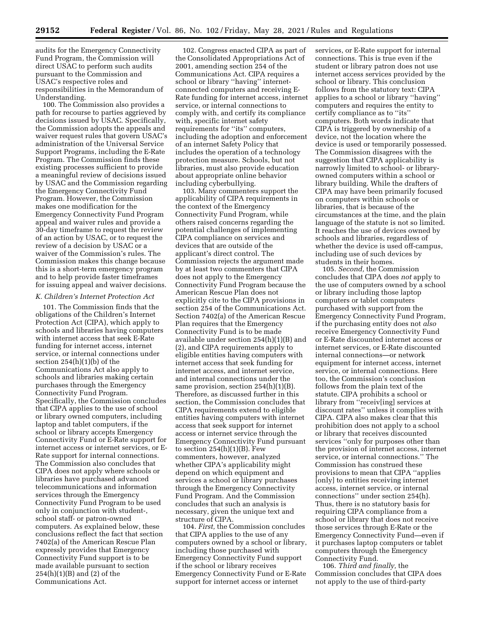audits for the Emergency Connectivity Fund Program, the Commission will direct USAC to perform such audits pursuant to the Commission and USAC's respective roles and responsibilities in the Memorandum of Understanding.

100. The Commission also provides a path for recourse to parties aggrieved by decisions issued by USAC. Specifically, the Commission adopts the appeals and waiver request rules that govern USAC's administration of the Universal Service Support Programs, including the E-Rate Program. The Commission finds these existing processes sufficient to provide a meaningful review of decisions issued by USAC and the Commission regarding the Emergency Connectivity Fund Program. However, the Commission makes one modification for the Emergency Connectivity Fund Program appeal and waiver rules and provide a 30-day timeframe to request the review of an action by USAC, or to request the review of a decision by USAC or a waiver of the Commission's rules. The Commission makes this change because this is a short-term emergency program and to help provide faster timeframes for issuing appeal and waiver decisions.

#### *K. Children's Internet Protection Act*

101. The Commission finds that the obligations of the Children's Internet Protection Act (CIPA), which apply to schools and libraries having computers with internet access that seek E-Rate funding for internet access, internet service, or internal connections under section 254(h)(1)(b) of the Communications Act also apply to schools and libraries making certain purchases through the Emergency Connectivity Fund Program. Specifically, the Commission concludes that CIPA applies to the use of school or library owned computers, including laptop and tablet computers, if the school or library accepts Emergency Connectivity Fund or E-Rate support for internet access or internet services, or E-Rate support for internal connections. The Commission also concludes that CIPA does not apply where schools or libraries have purchased advanced telecommunications and information services through the Emergency Connectivity Fund Program to be used only in conjunction with student-, school staff- or patron-owned computers. As explained below, these conclusions reflect the fact that section 7402(a) of the American Rescue Plan expressly provides that Emergency Connectivity Fund support is to be made available pursuant to section 254(h)(1)(B) and (2) of the Communications Act.

102. Congress enacted CIPA as part of the Consolidated Appropriations Act of 2001, amending section 254 of the Communications Act. CIPA requires a school or library ''having'' internetconnected computers and receiving E-Rate funding for internet access, internet service, or internal connections to comply with, and certify its compliance with, specific internet safety requirements for ''its'' computers, including the adoption and enforcement of an internet Safety Policy that includes the operation of a technology protection measure. Schools, but not libraries, must also provide education about appropriate online behavior including cyberbullying.

103. Many commenters support the applicability of CIPA requirements in the context of the Emergency Connectivity Fund Program, while others raised concerns regarding the potential challenges of implementing CIPA compliance on services and devices that are outside of the applicant's direct control. The Commission rejects the argument made by at least two commenters that CIPA does not apply to the Emergency Connectivity Fund Program because the American Rescue Plan does not explicitly cite to the CIPA provisions in section 254 of the Communications Act. Section 7402(a) of the American Rescue Plan requires that the Emergency Connectivity Fund is to be made available under section 254(h)(1)(B) and (2), and CIPA requirements apply to eligible entities having computers with internet access that seek funding for internet access, and internet service, and internal connections under the same provision, section  $254(h)(1)(B)$ . Therefore, as discussed further in this section, the Commission concludes that CIPA requirements extend to eligible entities having computers with internet access that seek support for internet access or internet service through the Emergency Connectivity Fund pursuant to section  $254(h)(1)(B)$ . Few commenters, however, analyzed whether CIPA's applicability might depend on which equipment and services a school or library purchases through the Emergency Connectivity Fund Program. And the Commission concludes that such an analysis is necessary, given the unique text and structure of CIPA.

104. *First,* the Commission concludes that CIPA applies to the use of any computers owned by a school or library, including those purchased with Emergency Connectivity Fund support if the school or library receives Emergency Connectivity Fund or E-Rate support for internet access or internet

services, or E-Rate support for internal connections. This is true even if the student or library patron does not use internet access services provided by the school or library. This conclusion follows from the statutory text: CIPA applies to a school or library ''having'' computers and requires the entity to certify compliance as to "its" computers. Both words indicate that CIPA is triggered by ownership of a device, not the location where the device is used or temporarily possessed. The Commission disagrees with the suggestion that CIPA applicability is narrowly limited to school- or libraryowned computers within a school or library building. While the drafters of CIPA may have been primarily focused on computers within schools or libraries, that is because of the circumstances at the time, and the plain language of the statute is not so limited. It reaches the use of devices owned by schools and libraries, regardless of whether the device is used off-campus, including use of such devices by students in their homes.

105. *Second,* the Commission concludes that CIPA does *not* apply to the use of computers owned by a school or library including those laptop computers or tablet computers purchased with support from the Emergency Connectivity Fund Program, if the purchasing entity does not *also*  receive Emergency Connectivity Fund or E-Rate discounted internet access or internet services, or E-Rate discounted internal connections—or network equipment for internet access, internet service, or internal connections. Here too, the Commission's conclusion follows from the plain text of the statute. CIPA prohibits a school or library from ''receiv[ing] services at discount rates'' unless it complies with CIPA. CIPA also makes clear that this prohibition does not apply to a school or library that receives discounted services ''only for purposes other than the provision of internet access, internet service, or internal connections.'' The Commission has construed these provisions to mean that CIPA ''applies [only] to entities receiving internet access, internet service, or internal connections'' under section 254(h). Thus, there is no statutory basis for requiring CIPA compliance from a school or library that does not receive those services through E-Rate or the Emergency Connectivity Fund—even if it purchases laptop computers or tablet computers through the Emergency Connectivity Fund.

106. *Third and finally,* the Commission concludes that CIPA does not apply to the use of third-party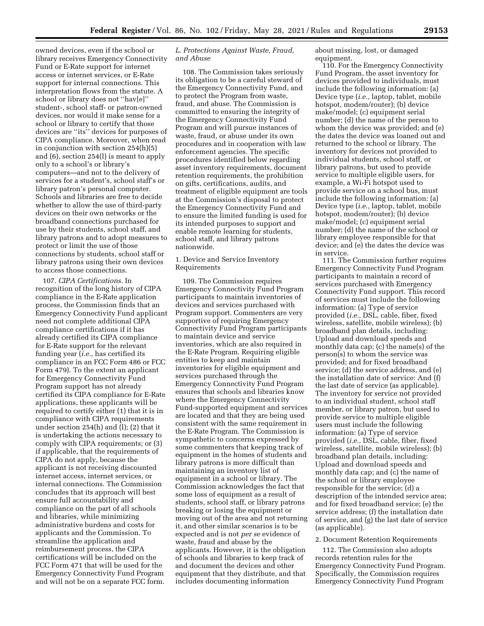owned devices, even if the school or library receives Emergency Connectivity Fund or E-Rate support for internet access or internet services, or E-Rate support for internal connections. This interpretation flows from the statute. A school or library does not ''hav[e]'' student-, school staff- or patron-owned devices, nor would it make sense for a school or library to certify that those devices are ''its'' devices for purposes of CIPA compliance. Moreover, when read in conjunction with section 254(h)(5) and (6), section 254(l) is meant to apply only to a school's or library's computers—and not to the delivery of services for a student's, school staff's or library patron's personal computer. Schools and libraries are free to decide whether to allow the use of third-party devices on their own networks or the broadband connections purchased for use by their students, school staff, and library patrons and to adopt measures to protect or limit the use of those connections by students, school staff or library patrons using their own devices to access those connections.

107. *CIPA Certifications.* In recognition of the long history of CIPA compliance in the E-Rate application process, the Commission finds that an Emergency Connectivity Fund applicant need not complete additional CIPA compliance certifications if it has already certified its CIPA compliance for E-Rate support for the relevant funding year (*i.e.,* has certified its compliance in an FCC Form 486 or FCC Form 479). To the extent an applicant for Emergency Connectivity Fund Program support has not already certified its CIPA compliance for E-Rate applications, these applicants will be required to certify either (1) that it is in compliance with CIPA requirements under section 254(h) and (l); (2) that it is undertaking the actions necessary to comply with CIPA requirements; or (3) if applicable, that the requirements of CIPA do not apply, because the applicant is not receiving discounted internet access, internet services, or internal connections. The Commission concludes that its approach will best ensure full accountability and compliance on the part of all schools and libraries, while minimizing administrative burdens and costs for applicants and the Commission. To streamline the application and reimbursement process, the CIPA certifications will be included on the FCC Form 471 that will be used for the Emergency Connectivity Fund Program and will not be on a separate FCC form.

# *L. Protections Against Waste, Fraud, and Abuse*

108. The Commission takes seriously its obligation to be a careful steward of the Emergency Connectivity Fund, and to protect the Program from waste, fraud, and abuse. The Commission is committed to ensuring the integrity of the Emergency Connectivity Fund Program and will pursue instances of waste, fraud, or abuse under its own procedures and in cooperation with law enforcement agencies. The specific procedures identified below regarding asset inventory requirements, document retention requirements, the prohibition on gifts, certifications, audits, and treatment of eligible equipment are tools at the Commission's disposal to protect the Emergency Connectivity Fund and to ensure the limited funding is used for its intended purposes to support and enable remote learning for students, school staff, and library patrons nationwide.

# 1. Device and Service Inventory Requirements

109. The Commission requires Emergency Connectivity Fund Program participants to maintain inventories of devices and services purchased with Program support. Commenters are very supportive of requiring Emergency Connectivity Fund Program participants to maintain device and service inventories, which are also required in the E-Rate Program. Requiring eligible entities to keep and maintain inventories for eligible equipment and services purchased through the Emergency Connectivity Fund Program ensures that schools and libraries know where the Emergency Connectivity Fund-supported equipment and services are located and that they are being used consistent with the same requirement in the E-Rate Program. The Commission is sympathetic to concerns expressed by some commenters that keeping track of equipment in the homes of students and library patrons is more difficult than maintaining an inventory list of equipment in a school or library. The Commission acknowledges the fact that some loss of equipment as a result of students, school staff, or library patrons breaking or losing the equipment or moving out of the area and not returning it, and other similar scenarios is to be expected and is not *per se* evidence of waste, fraud and abuse by the applicants. However, it is the obligation of schools and libraries to keep track of and document the devices and other equipment that they distribute, and that includes documenting information

about missing, lost, or damaged equipment.

110. For the Emergency Connectivity Fund Program, the asset inventory for devices provided to individuals, must include the following information: (a) Device type (*i.e.,* laptop, tablet, mobile hotspot, modem/router); (b) device make/model; (c) equipment serial number; (d) the name of the person to whom the device was provided; and (e) the dates the device was loaned out and returned to the school or library. The inventory for devices not provided to individual students, school staff, or library patrons, but used to provide service to multiple eligible users, for example, a Wi-Fi hotspot used to provide service on a school bus, must include the following information: (a) Device type (*i.e.,* laptop, tablet, mobile hotspot, modem/router); (b) device make/model; (c) equipment serial number; (d) the name of the school or library employee responsible for that device; and (e) the dates the device was in service.

111. The Commission further requires Emergency Connectivity Fund Program participants to maintain a record of services purchased with Emergency Connectivity Fund support. This record of services must include the following information: (a) Type of service provided (*i.e.,* DSL, cable, fiber, fixed wireless, satellite, mobile wireless); (b) broadband plan details, including: Upload and download speeds and monthly data cap; (c) the name(s) of the person(s) to whom the service was provided; and for fixed broadband service; (d) the service address, and (e) the installation date of service: And (f) the last date of service (as applicable). The inventory for service not provided to an individual student, school staff member, or library patron, but used to provide service to multiple eligible users must include the following information: (a) Type of service provided (*i.e.,* DSL, cable, fiber, fixed wireless, satellite, mobile wireless); (b) broadband plan details, including: Upload and download speeds and monthly data cap; and (c) the name of the school or library employee responsible for the service; (d) a description of the intended service area; and for fixed broadband service; (e) the service address; (f) the installation date of service, and (g) the last date of service (as applicable).

## 2. Document Retention Requirements

112. The Commission also adopts records retention rules for the Emergency Connectivity Fund Program. Specifically, the Commission requires Emergency Connectivity Fund Program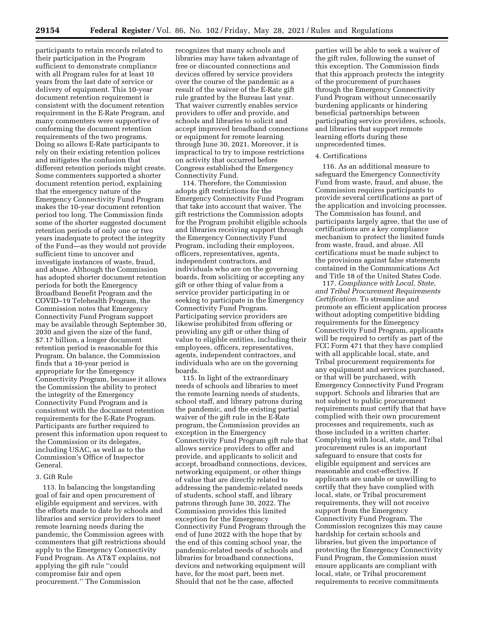participants to retain records related to their participation in the Program sufficient to demonstrate compliance with all Program rules for at least 10 years from the last date of service or delivery of equipment. This 10-year document retention requirement is consistent with the document retention requirement in the E-Rate Program, and many commenters were supportive of conforming the document retention requirements of the two programs. Doing so allows E-Rate participants to rely on their existing retention polices and mitigates the confusion that different retention periods might create. Some commenters supported a shorter document retention period, explaining that the emergency nature of the Emergency Connectivity Fund Program makes the 10-year document retention period too long. The Commission finds some of the shorter suggested document retention periods of only one or two years inadequate to protect the integrity of the Fund—as they would not provide sufficient time to uncover and investigate instances of waste, fraud, and abuse. Although the Commission has adopted shorter document retention periods for both the Emergency Broadband Benefit Program and the COVID–19 Telehealth Program, the Commission notes that Emergency Connectivity Fund Program support may be available through September 30, 2030 and given the size of the fund, \$7.17 billion, a longer document retention period is reasonable for this Program. On balance, the Commission finds that a 10-year period is appropriate for the Emergency Connectivity Program, because it allows the Commission the ability to protect the integrity of the Emergency Connectivity Fund Program and is consistent with the document retention requirements for the E-Rate Program. Participants are further required to present this information upon request to the Commission or its delegates, including USAC, as well as to the Commission's Office of Inspector General.

#### 3. Gift Rule

113. In balancing the longstanding goal of fair and open procurement of eligible equipment and services, with the efforts made to date by schools and libraries and service providers to meet remote learning needs during the pandemic, the Commission agrees with commenters that gift restrictions should apply to the Emergency Connectivity Fund Program. As AT&T explains, not applying the gift rule ''could compromise fair and open procurement.'' The Commission

recognizes that many schools and libraries may have taken advantage of free or discounted connections and devices offered by service providers over the course of the pandemic as a result of the waiver of the E-Rate gift rule granted by the Bureau last year. That waiver currently enables service providers to offer and provide, and schools and libraries to solicit and accept improved broadband connections or equipment for remote learning through June 30, 2021. Moreover, it is impractical to try to impose restrictions on activity that occurred before Congress established the Emergency Connectivity Fund.

114. Therefore, the Commission adopts gift restrictions for the Emergency Connectivity Fund Program that take into account that waiver. The gift restrictions the Commission adopts for the Program prohibit eligible schools and libraries receiving support through the Emergency Connectivity Fund Program, including their employees, officers, representatives, agents, independent contractors, and individuals who are on the governing boards, from soliciting or accepting any gift or other thing of value from a service provider participating in or seeking to participate in the Emergency Connectivity Fund Program. Participating service providers are likewise prohibited from offering or providing any gift or other thing of value to eligible entities, including their employees, officers, representatives, agents, independent contractors, and individuals who are on the governing boards.

115. In light of the extraordinary needs of schools and libraries to meet the remote learning needs of students, school staff, and library patrons during the pandemic, and the existing partial waiver of the gift rule in the E-Rate program, the Commission provides an exception in the Emergency Connectivity Fund Program gift rule that allows service providers to offer and provide, and applicants to solicit and accept, broadband connections, devices, networking equipment, or other things of value that are directly related to addressing the pandemic-related needs of students, school staff, and library patrons through June 30, 2022. The Commission provides this limited exception for the Emergency Connectivity Fund Program through the end of June 2022 with the hope that by the end of this coming school year, the pandemic-related needs of schools and libraries for broadband connections, devices and networking equipment will have, for the most part, been met. Should that not be the case, affected

parties will be able to seek a waiver of the gift rules, following the sunset of this exception. The Commission finds that this approach protects the integrity of the procurement of purchases through the Emergency Connectivity Fund Program without unnecessarily burdening applicants or hindering beneficial partnerships between participating service providers, schools, and libraries that support remote learning efforts during these unprecedented times.

#### 4. Certifications

116. As an additional measure to safeguard the Emergency Connectivity Fund from waste, fraud, and abuse, the Commission requires participants to provide several certifications as part of the application and invoicing processes. The Commission has found, and participants largely agree, that the use of certifications are a key compliance mechanism to protect the limited funds from waste, fraud, and abuse. All certifications must be made subject to the provisions against false statements contained in the Communications Act and Title 18 of the United States Code.

117. *Compliance with Local, State, and Tribal Procurement Requirements Certification.* To streamline and promote an efficient application process without adopting competitive bidding requirements for the Emergency Connectivity Fund Program, applicants will be required to certify as part of the FCC Form 471 that they have complied with all applicable local, state, and Tribal procurement requirements for any equipment and services purchased, or that will be purchased, with Emergency Connectivity Fund Program support. Schools and libraries that are not subject to public procurement requirements must certify that that have complied with their own procurement processes and requirements, such as those included in a written charter. Complying with local, state, and Tribal procurement rules is an important safeguard to ensure that costs for eligible equipment and services are reasonable and cost-effective. If applicants are unable or unwilling to certify that they have complied with local, state, or Tribal procurement requirements, they will not receive support from the Emergency Connectivity Fund Program. The Commission recognizes this may cause hardship for certain schools and libraries, but given the importance of protecting the Emergency Connectivity Fund Program, the Commission must ensure applicants are compliant with local, state, or Tribal procurement requirements to receive commitments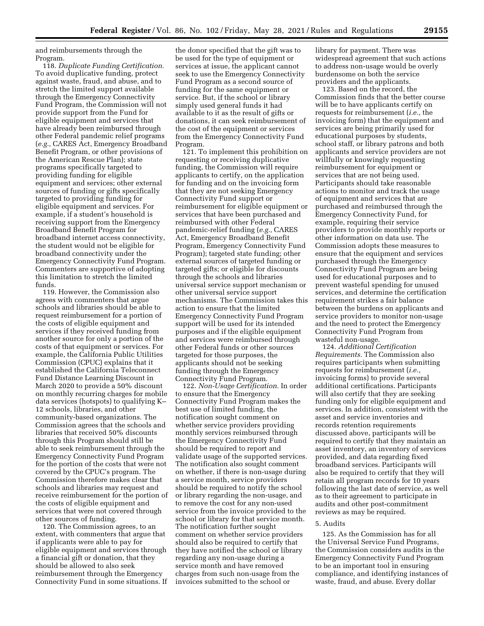and reimbursements through the Program.

118. *Duplicate Funding Certification.*  To avoid duplicative funding, protect against waste, fraud, and abuse, and to stretch the limited support available through the Emergency Connectivity Fund Program, the Commission will not provide support from the Fund for eligible equipment and services that have already been reimbursed through other Federal pandemic relief programs (*e.g.,* CARES Act, Emergency Broadband Benefit Program, or other provisions of the American Rescue Plan); state programs specifically targeted to providing funding for eligible equipment and services; other external sources of funding or gifts specifically targeted to providing funding for eligible equipment and services. For example, if a student's household is receiving support from the Emergency Broadband Benefit Program for broadband internet access connectivity, the student would not be eligible for broadband connectivity under the Emergency Connectivity Fund Program. Commenters are supportive of adopting this limitation to stretch the limited funds.

119. However, the Commission also agrees with commenters that argue schools and libraries should be able to request reimbursement for a portion of the costs of eligible equipment and services if they received funding from another source for only a portion of the costs of that equipment or services. For example, the California Public Utilities Commission (CPUC) explains that it established the California Teleconnect Fund Distance Learning Discount in March 2020 to provide a 50% discount on monthly recurring charges for mobile data services (hotspots) to qualifying K– 12 schools, libraries, and other community-based organizations. The Commission agrees that the schools and libraries that received 50% discounts through this Program should still be able to seek reimbursement through the Emergency Connectivity Fund Program for the portion of the costs that were not covered by the CPUC's program. The Commission therefore makes clear that schools and libraries may request and receive reimbursement for the portion of the costs of eligible equipment and services that were not covered through other sources of funding.

120. The Commission agrees, to an extent, with commenters that argue that if applicants were able to pay for eligible equipment and services through a financial gift or donation, that they should be allowed to also seek reimbursement through the Emergency Connectivity Fund in some situations. If

the donor specified that the gift was to be used for the type of equipment or services at issue, the applicant cannot seek to use the Emergency Connectivity Fund Program as a second source of funding for the same equipment or service. But, if the school or library simply used general funds it had available to it as the result of gifts or donations, it can seek reimbursement of the cost of the equipment or services from the Emergency Connectivity Fund Program.

121. To implement this prohibition on requesting or receiving duplicative funding, the Commission will require applicants to certify, on the application for funding and on the invoicing form that they are not seeking Emergency Connectivity Fund support or reimbursement for eligible equipment or services that have been purchased and reimbursed with other Federal pandemic-relief funding (*e.g.,* CARES Act, Emergency Broadband Benefit Program, Emergency Connectivity Fund Program); targeted state funding; other external sources of targeted funding or targeted gifts; or eligible for discounts through the schools and libraries universal service support mechanism or other universal service support mechanisms. The Commission takes this action to ensure that the limited Emergency Connectivity Fund Program support will be used for its intended purposes and if the eligible equipment and services were reimbursed through other Federal funds or other sources targeted for those purposes, the applicants should not be seeking funding through the Emergency Connectivity Fund Program.

122. *Non-Usage Certification.* In order to ensure that the Emergency Connectivity Fund Program makes the best use of limited funding, the notification sought comment on whether service providers providing monthly services reimbursed through the Emergency Connectivity Fund should be required to report and validate usage of the supported services. The notification also sought comment on whether, if there is non-usage during a service month, service providers should be required to notify the school or library regarding the non-usage, and to remove the cost for any non-used service from the invoice provided to the school or library for that service month. The notification further sought comment on whether service providers should also be required to certify that they have notified the school or library regarding any non-usage during a service month and have removed charges from such non-usage from the invoices submitted to the school or

library for payment. There was widespread agreement that such actions to address non-usage would be overly burdensome on both the service providers and the applicants.

123. Based on the record, the Commission finds that the better course will be to have applicants certify on requests for reimbursement (*i.e.,* the invoicing form) that the equipment and services are being primarily used for educational purposes by students, school staff, or library patrons and both applicants and service providers are not willfully or knowingly requesting reimbursement for equipment or services that are not being used. Participants should take reasonable actions to monitor and track the usage of equipment and services that are purchased and reimbursed through the Emergency Connectivity Fund, for example, requiring their service providers to provide monthly reports or other information on data use. The Commission adopts these measures to ensure that the equipment and services purchased through the Emergency Connectivity Fund Program are being used for educational purposes and to prevent wasteful spending for unused services, and determine the certification requirement strikes a fair balance between the burdens on applicants and service providers to monitor non-usage and the need to protect the Emergency Connectivity Fund Program from wasteful non-usage.

124. *Additional Certification Requirements.* The Commission also requires participants when submitting requests for reimbursement (*i.e.,*  invoicing forms) to provide several additional certifications. Participants will also certify that they are seeking funding only for eligible equipment and services. In addition, consistent with the asset and service inventories and records retention requirements discussed above, participants will be required to certify that they maintain an asset inventory, an inventory of services provided, and data regarding fixed broadband services. Participants will also be required to certify that they will retain all program records for 10 years following the last date of service, as well as to their agreement to participate in audits and other post-commitment reviews as may be required.

#### 5. Audits

125. As the Commission has for all the Universal Service Fund Programs, the Commission considers audits in the Emergency Connectivity Fund Program to be an important tool in ensuring compliance, and identifying instances of waste, fraud, and abuse. Every dollar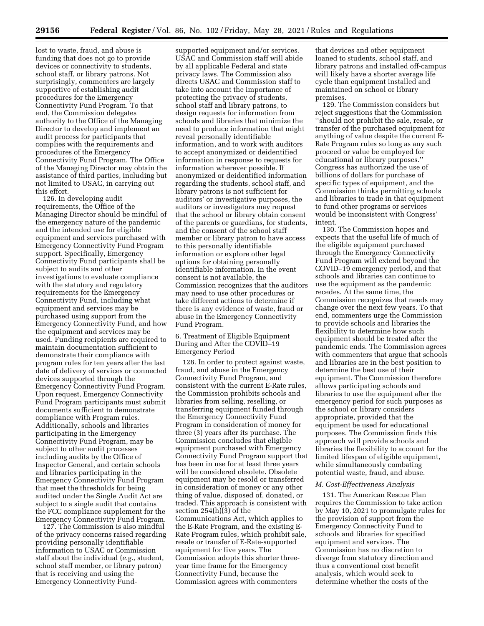lost to waste, fraud, and abuse is funding that does not go to provide devices or connectivity to students, school staff, or library patrons. Not surprisingly, commenters are largely supportive of establishing audit procedures for the Emergency Connectivity Fund Program. To that end, the Commission delegates authority to the Office of the Managing Director to develop and implement an audit process for participants that complies with the requirements and procedures of the Emergency Connectivity Fund Program. The Office of the Managing Director may obtain the assistance of third parties, including but not limited to USAC, in carrying out this effort.

126. In developing audit requirements, the Office of the Managing Director should be mindful of the emergency nature of the pandemic and the intended use for eligible equipment and services purchased with Emergency Connectivity Fund Program support. Specifically, Emergency Connectivity Fund participants shall be subject to audits and other investigations to evaluate compliance with the statutory and regulatory requirements for the Emergency Connectivity Fund, including what equipment and services may be purchased using support from the Emergency Connectivity Fund, and how the equipment and services may be used. Funding recipients are required to maintain documentation sufficient to demonstrate their compliance with program rules for ten years after the last date of delivery of services or connected devices supported through the Emergency Connectivity Fund Program. Upon request, Emergency Connectivity Fund Program participants must submit documents sufficient to demonstrate compliance with Program rules. Additionally, schools and libraries participating in the Emergency Connectivity Fund Program, may be subject to other audit processes including audits by the Office of Inspector General, and certain schools and libraries participating in the Emergency Connectivity Fund Program that meet the thresholds for being audited under the Single Audit Act are subject to a single audit that contains the FCC compliance supplement for the Emergency Connectivity Fund Program.

127. The Commission is also mindful of the privacy concerns raised regarding providing personally identifiable information to USAC or Commission staff about the individual (*e.g.,* student, school staff member, or library patron) that is receiving and using the Emergency Connectivity Fund-

supported equipment and/or services. USAC and Commission staff will abide by all applicable Federal and state privacy laws. The Commission also directs USAC and Commission staff to take into account the importance of protecting the privacy of students, school staff and library patrons, to design requests for information from schools and libraries that minimize the need to produce information that might reveal personally identifiable information, and to work with auditors to accept anonymized or deidentified information in response to requests for information wherever possible. If anonymized or deidentified information regarding the students, school staff, and library patrons is not sufficient for auditors' or investigative purposes, the auditors or investigators may request that the school or library obtain consent of the parents or guardians, for students, and the consent of the school staff member or library patron to have access to this personally identifiable information or explore other legal options for obtaining personally identifiable information. In the event consent is not available, the Commission recognizes that the auditors may need to use other procedures or take different actions to determine if there is any evidence of waste, fraud or abuse in the Emergency Connectivity Fund Program.

6. Treatment of Eligible Equipment During and After the COVID–19 Emergency Period

128. In order to protect against waste, fraud, and abuse in the Emergency Connectivity Fund Program, and consistent with the current E-Rate rules, the Commission prohibits schools and libraries from selling, reselling, or transferring equipment funded through the Emergency Connectivity Fund Program in consideration of money for three (3) years after its purchase. The Commission concludes that eligible equipment purchased with Emergency Connectivity Fund Program support that has been in use for at least three years will be considered obsolete. Obsolete equipment may be resold or transferred in consideration of money or any other thing of value, disposed of, donated, or traded. This approach is consistent with section 254(h)(3) of the Communications Act, which applies to the E-Rate Program, and the existing E-Rate Program rules, which prohibit sale, resale or transfer of E-Rate-supported equipment for five years. The Commission adopts this shorter threeyear time frame for the Emergency Connectivity Fund, because the Commission agrees with commenters

that devices and other equipment loaned to students, school staff, and library patrons and installed off-campus will likely have a shorter average life cycle than equipment installed and maintained on school or library premises.

129. The Commission considers but reject suggestions that the Commission ''should not prohibit the sale, resale, or transfer of the purchased equipment for anything of value despite the current E-Rate Program rules so long as any such proceed or value be employed for educational or library purposes.'' Congress has authorized the use of billions of dollars for purchase of specific types of equipment, and the Commission thinks permitting schools and libraries to trade in that equipment to fund other programs or services would be inconsistent with Congress' intent.

130. The Commission hopes and expects that the useful life of much of the eligible equipment purchased through the Emergency Connectivity Fund Program will extend beyond the COVID–19 emergency period, and that schools and libraries can continue to use the equipment as the pandemic recedes. At the same time, the Commission recognizes that needs may change over the next few years. To that end, commenters urge the Commission to provide schools and libraries the flexibility to determine how such equipment should be treated after the pandemic ends. The Commission agrees with commenters that argue that schools and libraries are in the best position to determine the best use of their equipment. The Commission therefore allows participating schools and libraries to use the equipment after the emergency period for such purposes as the school or library considers appropriate, provided that the equipment be used for educational purposes. The Commission finds this approach will provide schools and libraries the flexibility to account for the limited lifespan of eligible equipment, while simultaneously combating potential waste, fraud, and abuse.

# *M. Cost-Effectiveness Analysis*

131. The American Rescue Plan requires the Commission to take action by May 10, 2021 to promulgate rules for the provision of support from the Emergency Connectivity Fund to schools and libraries for specified equipment and services. The Commission has no discretion to diverge from statutory direction and thus a conventional cost benefit analysis, which would seek to determine whether the costs of the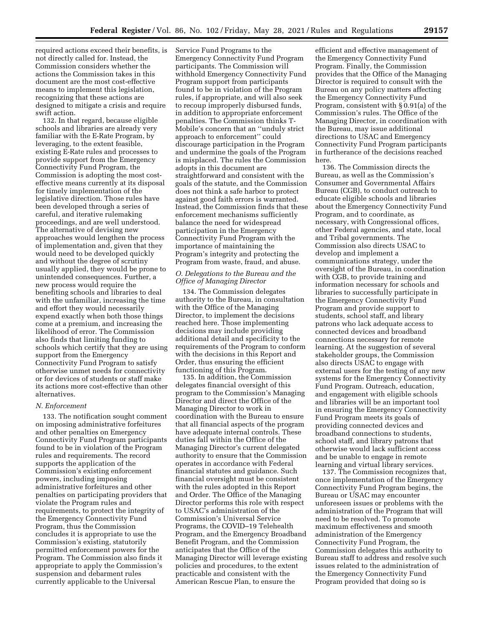required actions exceed their benefits, is not directly called for. Instead, the Commission considers whether the actions the Commission takes in this document are the most cost-effective means to implement this legislation, recognizing that these actions are designed to mitigate a crisis and require swift action.

132. In that regard, because eligible schools and libraries are already very familiar with the E-Rate Program, by leveraging, to the extent feasible, existing E-Rate rules and processes to provide support from the Emergency Connectivity Fund Program, the Commission is adopting the most costeffective means currently at its disposal for timely implementation of the legislative direction. Those rules have been developed through a series of careful, and iterative rulemaking proceedings, and are well understood. The alternative of devising new approaches would lengthen the process of implementation and, given that they would need to be developed quickly and without the degree of scrutiny usually applied, they would be prone to unintended consequences. Further, a new process would require the benefiting schools and libraries to deal with the unfamiliar, increasing the time and effort they would necessarily expend exactly when both those things come at a premium, and increasing the likelihood of error. The Commission also finds that limiting funding to schools which certify that they are using support from the Emergency Connectivity Fund Program to satisfy otherwise unmet needs for connectivity or for devices of students or staff make its actions more cost-effective than other alternatives.

#### *N. Enforcement*

133. The notification sought comment on imposing administrative forfeitures and other penalties on Emergency Connectivity Fund Program participants found to be in violation of the Program rules and requirements. The record supports the application of the Commission's existing enforcement powers, including imposing administrative forfeitures and other penalties on participating providers that violate the Program rules and requirements, to protect the integrity of the Emergency Connectivity Fund Program, thus the Commission concludes it is appropriate to use the Commission's existing, statutorily permitted enforcement powers for the Program. The Commission also finds it appropriate to apply the Commission's suspension and debarment rules currently applicable to the Universal

Service Fund Programs to the Emergency Connectivity Fund Program participants. The Commission will withhold Emergency Connectivity Fund Program support from participants found to be in violation of the Program rules, if appropriate, and will also seek to recoup improperly disbursed funds, in addition to appropriate enforcement penalties. The Commission thinks T-Mobile's concern that an ''unduly strict approach to enforcement'' could discourage participation in the Program and undermine the goals of the Program is misplaced. The rules the Commission adopts in this document are straightforward and consistent with the goals of the statute, and the Commission does not think a safe harbor to protect against good faith errors is warranted. Instead, the Commission finds that these enforcement mechanisms sufficiently balance the need for widespread participation in the Emergency Connectivity Fund Program with the importance of maintaining the Program's integrity and protecting the Program from waste, fraud, and abuse.

# *O. Delegations to the Bureau and the Office of Managing Director*

134. The Commission delegates authority to the Bureau, in consultation with the Office of the Managing Director, to implement the decisions reached here. Those implementing decisions may include providing additional detail and specificity to the requirements of the Program to conform with the decisions in this Report and Order, thus ensuring the efficient functioning of this Program.

135. In addition, the Commission delegates financial oversight of this program to the Commission's Managing Director and direct the Office of the Managing Director to work in coordination with the Bureau to ensure that all financial aspects of the program have adequate internal controls. These duties fall within the Office of the Managing Director's current delegated authority to ensure that the Commission operates in accordance with Federal financial statutes and guidance. Such financial oversight must be consistent with the rules adopted in this Report and Order. The Office of the Managing Director performs this role with respect to USAC's administration of the Commission's Universal Service Programs, the COVID–19 Telehealth Program, and the Emergency Broadband Benefit Program, and the Commission anticipates that the Office of the Managing Director will leverage existing policies and procedures, to the extent practicable and consistent with the American Rescue Plan, to ensure the

efficient and effective management of the Emergency Connectivity Fund Program. Finally, the Commission provides that the Office of the Managing Director is required to consult with the Bureau on any policy matters affecting the Emergency Connectivity Fund Program, consistent with § 0.91(a) of the Commission's rules. The Office of the Managing Director, in coordination with the Bureau, may issue additional directions to USAC and Emergency Connectivity Fund Program participants in furtherance of the decisions reached here.

136. The Commission directs the Bureau, as well as the Commission's Consumer and Governmental Affairs Bureau (CGB), to conduct outreach to educate eligible schools and libraries about the Emergency Connectivity Fund Program, and to coordinate, as necessary, with Congressional offices, other Federal agencies, and state, local and Tribal governments. The Commission also directs USAC to develop and implement a communications strategy, under the oversight of the Bureau, in coordination with CGB, to provide training and information necessary for schools and libraries to successfully participate in the Emergency Connectivity Fund Program and provide support to students, school staff, and library patrons who lack adequate access to connected devices and broadband connections necessary for remote learning. At the suggestion of several stakeholder groups, the Commission also directs USAC to engage with external users for the testing of any new systems for the Emergency Connectivity Fund Program. Outreach, education, and engagement with eligible schools and libraries will be an important tool in ensuring the Emergency Connectivity Fund Program meets its goals of providing connected devices and broadband connections to students, school staff, and library patrons that otherwise would lack sufficient access and be unable to engage in remote learning and virtual library services.

137. The Commission recognizes that, once implementation of the Emergency Connectivity Fund Program begins, the Bureau or USAC may encounter unforeseen issues or problems with the administration of the Program that will need to be resolved. To promote maximum effectiveness and smooth administration of the Emergency Connectivity Fund Program, the Commission delegates this authority to Bureau staff to address and resolve such issues related to the administration of the Emergency Connectivity Fund Program provided that doing so is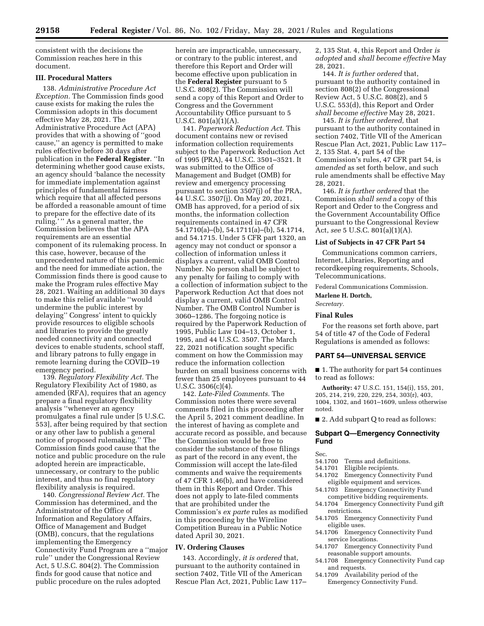consistent with the decisions the Commission reaches here in this document.

# **III. Procedural Matters**

138. *Administrative Procedure Act Exception.* The Commission finds good cause exists for making the rules the Commission adopts in this document effective May 28, 2021. The Administrative Procedure Act (APA) provides that with a showing of ''good cause,'' an agency is permitted to make rules effective before 30 days after publication in the **Federal Register**. ''In determining whether good cause exists, an agency should 'balance the necessity for immediate implementation against principles of fundamental fairness which require that all affected persons be afforded a reasonable amount of time to prepare for the effective date of its ruling.' '' As a general matter, the Commission believes that the APA requirements are an essential component of its rulemaking process. In this case, however, because of the unprecedented nature of this pandemic and the need for immediate action, the Commission finds there is good cause to make the Program rules effective May 28, 2021. Waiting an additional 30 days to make this relief available ''would undermine the public interest by delaying'' Congress' intent to quickly provide resources to eligible schools and libraries to provide the greatly needed connectivity and connected devices to enable students, school staff, and library patrons to fully engage in remote learning during the COVID–19 emergency period.

139. *Regulatory Flexibility Act.* The Regulatory Flexibility Act of 1980, as amended (RFA), requires that an agency prepare a final regulatory flexibility analysis ''whenever an agency promulgates a final rule under [5 U.S.C. 553], after being required by that section or any other law to publish a general notice of proposed rulemaking.'' The Commission finds good cause that the notice and public procedure on the rule adopted herein are impracticable, unnecessary, or contrary to the public interest, and thus no final regulatory flexibility analysis is required.

140. *Congressional Review Act.* The Commission has determined, and the Administrator of the Office of Information and Regulatory Affairs, Office of Management and Budget (OMB), concurs, that the regulations implementing the Emergency Connectivity Fund Program are a ''major rule'' under the Congressional Review Act, 5 U.S.C. 804(2). The Commission finds for good cause that notice and public procedure on the rules adopted

herein are impracticable, unnecessary, or contrary to the public interest, and therefore this Report and Order will become effective upon publication in the **Federal Register** pursuant to 5 U.S.C. 808(2). The Commission will send a copy of this Report and Order to Congress and the Government Accountability Office pursuant to 5 U.S.C. 801(a)(1)(A).

141. *Paperwork Reduction Act.* This document contains new or revised information collection requirements subject to the Paperwork Reduction Act of 1995 (PRA), 44 U.S.C. 3501–3521. It was submitted to the Office of Management and Budget (OMB) for review and emergency processing pursuant to section 3507(j) of the PRA, 44 U.S.C. 3507(j). On May 20, 2021, OMB has approved, for a period of six months, the information collection requirements contained in 47 CFR 54.1710(a)–(b), 54.1711(a)–(b), 54.1714, and 54.1715. Under 5 CFR part 1320, an agency may not conduct or sponsor a collection of information unless it displays a current, valid OMB Control Number. No person shall be subject to any penalty for failing to comply with a collection of information subject to the Paperwork Reduction Act that does not display a current, valid OMB Control Number. The OMB Control Number is 3060–1286. The forgoing notice is required by the Paperwork Reduction of 1995, Public Law 104–13, October 1, 1995, and 44 U.S.C. 3507. The March 22, 2021 notification sought specific comment on how the Commission may reduce the information collection burden on small business concerns with fewer than 25 employees pursuant to 44 U.S.C. 3506(c)(4).

142. *Late-Filed Comments.* The Commission notes there were several comments filed in this proceeding after the April 5, 2021 comment deadline. In the interest of having as complete and accurate record as possible, and because the Commission would be free to consider the substance of those filings as part of the record in any event, the Commission will accept the late-filed comments and waive the requirements of 47 CFR 1.46(b), and have considered them in this Report and Order. This does not apply to late-filed comments that are prohibited under the Commission's *ex parte* rules as modified in this proceeding by the Wireline Competition Bureau in a Public Notice dated April 30, 2021.

#### **IV. Ordering Clauses**

143. Accordingly, *it is ordered* that, pursuant to the authority contained in section 7402, Title VII of the American Rescue Plan Act, 2021, Public Law 117– 2, 135 Stat. 4, this Report and Order *is adopted* and *shall become effective* May 28, 2021.

144. *It is further ordered* that, pursuant to the authority contained in section 808(2) of the Congressional Review Act, 5 U.S.C. 808(2), and 5 U.S.C. 553(d), this Report and Order *shall become effective* May 28, 2021.

145. *It is further ordered,* that pursuant to the authority contained in section 7402, Title VII of the American Rescue Plan Act, 2021, Public Law 117– 2, 135 Stat. 4, part 54 of the Commission's rules, 47 CFR part 54, is *amended* as set forth below, and such rule amendments shall be effective May 28, 2021.

146. *It is further ordered* that the Commission *shall send* a copy of this Report and Order to the Congress and the Government Accountability Office pursuant to the Congressional Review Act, *see* 5 U.S.C. 801(a)(1)(A).

# **List of Subjects in 47 CFR Part 54**

Communications common carriers, Internet, Libraries, Reporting and recordkeeping requirements, Schools, Telecommunications.

Federal Communications Commission.

**Marlene H. Dortch,** 

*Secretary.* 

# **Final Rules**

For the reasons set forth above, part 54 of title 47 of the Code of Federal Regulations is amended as follows:

#### **PART 54—UNIVERSAL SERVICE**

■ 1. The authority for part 54 continues to read as follows:

**Authority:** 47 U.S.C. 151, 154(i), 155, 201, 205, 214, 219, 220, 229, 254, 303(r), 403, 1004, 1302, and 1601–1609, unless otherwise noted.

■ 2. Add subpart Q to read as follows:

## **Subpart Q—Emergency Connectivity Fund**

# Sec.

- 54.1700 Terms and definitions.<br>54.1701 Eligible recipients
- 54.1701 Eligible recipients.<br>54.1702 Emergency Connec
- Emergency Connectivity Fund eligible equipment and services.
- 54.1703 Emergency Connectivity Fund competitive bidding requirements.
- 54.1704 Emergency Connectivity Fund gift restrictions.
- 54.1705 Emergency Connectivity Fund eligible uses.
- 54.1706 Emergency Connectivity Fund service locations.
- 54.1707 Emergency Connectivity Fund reasonable support amounts.
- 54.1708 Emergency Connectivity Fund cap and requests.
- 54.1709 Availability period of the Emergency Connectivity Fund.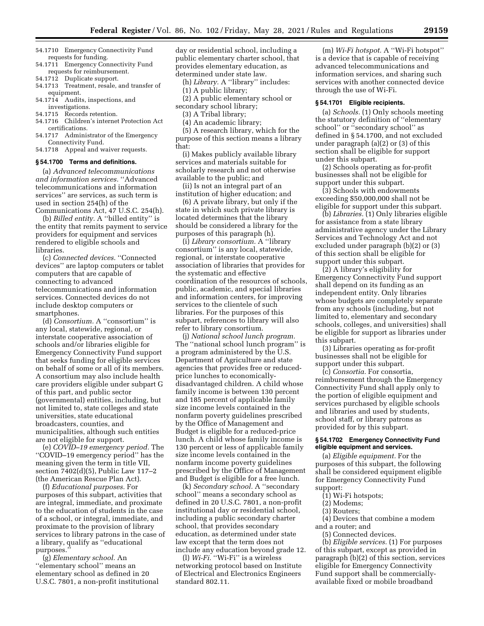- 54.1710 Emergency Connectivity Fund requests for funding.
- 54.1711 Emergency Connectivity Fund requests for reimbursement.
- 54.1712 Duplicate support.
- 54.1713 Treatment, resale, and transfer of equipment.
- 54.1714 Audits, inspections, and investigations.
- 54.1715 Records retention.
- 54.1716 Children's internet Protection Act certifications.
- 54.1717 Administrator of the Emergency Connectivity Fund.
- 54.1718 Appeal and waiver requests.

#### **§ 54.1700 Terms and definitions.**

(a) *Advanced telecommunications and information services.* ''Advanced telecommunications and information services'' are services, as such term is used in section 254(h) of the Communications Act, 47 U.S.C. 254(h).

(b) *Billed entity.* A ''billed entity'' is the entity that remits payment to service providers for equipment and services rendered to eligible schools and libraries.

(c) *Connected devices.* ''Connected devices'' are laptop computers or tablet computers that are capable of connecting to advanced telecommunications and information services. Connected devices do not include desktop computers or smartphones.

(d) *Consortium.* A ''consortium'' is any local, statewide, regional, or interstate cooperative association of schools and/or libraries eligible for Emergency Connectivity Fund support that seeks funding for eligible services on behalf of some or all of its members. A consortium may also include health care providers eligible under subpart G of this part, and public sector (governmental) entities, including, but not limited to, state colleges and state universities, state educational broadcasters, counties, and municipalities, although such entities are not eligible for support.

(e) *COVID–19 emergency period.* The ''COVID–19 emergency period'' has the meaning given the term in title VII, section 7402(d)(5), Public Law 117–2 (the American Rescue Plan Act).

(f) *Educational purposes.* For purposes of this subpart, activities that are integral, immediate, and proximate to the education of students in the case of a school, or integral, immediate, and proximate to the provision of library services to library patrons in the case of a library, qualify as ''educational purposes.

(g) *Elementary school.* An ''elementary school'' means an elementary school as defined in 20 U.S.C. 7801, a non-profit institutional day or residential school, including a public elementary charter school, that provides elementary education, as determined under state law.

- (h) *Library.* A ''library'' includes:
- (1) A public library;

(2) A public elementary school or secondary school library;

(3) A Tribal library;

(4) An academic library;

(5) A research library, which for the purpose of this section means a library that:

(i) Makes publicly available library services and materials suitable for scholarly research and not otherwise available to the public; and

(ii) Is not an integral part of an institution of higher education; and

(6) A private library, but only if the state in which such private library is located determines that the library should be considered a library for the purposes of this paragraph (h).

(i) *Library consortium.* A ''library consortium'' is any local, statewide, regional, or interstate cooperative association of libraries that provides for the systematic and effective coordination of the resources of schools, public, academic, and special libraries and information centers, for improving services to the clientele of such libraries. For the purposes of this subpart, references to library will also refer to library consortium.

(j) *National school lunch program.*  The ''national school lunch program'' is a program administered by the U.S. Department of Agriculture and state agencies that provides free or reducedprice lunches to economicallydisadvantaged children. A child whose family income is between 130 percent and 185 percent of applicable family size income levels contained in the nonfarm poverty guidelines prescribed by the Office of Management and Budget is eligible for a reduced-price lunch. A child whose family income is 130 percent or less of applicable family size income levels contained in the nonfarm income poverty guidelines prescribed by the Office of Management and Budget is eligible for a free lunch.

(k) *Secondary school.* A ''secondary school'' means a secondary school as defined in 20 U.S.C. 7801, a non-profit institutional day or residential school, including a public secondary charter school, that provides secondary education, as determined under state law except that the term does not include any education beyond grade 12.

(l) *Wi-Fi.* ''Wi-Fi'' is a wireless networking protocol based on Institute of Electrical and Electronics Engineers standard 802.11.

(m) *Wi-Fi hotspot.* A ''Wi-Fi hotspot'' is a device that is capable of receiving advanced telecommunications and information services, and sharing such services with another connected device through the use of Wi-Fi.

#### **§ 54.1701 Eligible recipients.**

(a) *Schools.* (1) Only schools meeting the statutory definition of ''elementary school" or "secondary school" as defined in § 54.1700, and not excluded under paragraph (a)(2) or (3) of this section shall be eligible for support under this subpart.

(2) Schools operating as for-profit businesses shall not be eligible for support under this subpart.

(3) Schools with endowments exceeding \$50,000,000 shall not be eligible for support under this subpart.

(b) *Libraries.* (1) Only libraries eligible for assistance from a state library administrative agency under the Library Services and Technology Act and not excluded under paragraph (b)(2) or (3) of this section shall be eligible for support under this subpart.

(2) A library's eligibility for Emergency Connectivity Fund support shall depend on its funding as an independent entity. Only libraries whose budgets are completely separate from any schools (including, but not limited to, elementary and secondary schools, colleges, and universities) shall be eligible for support as libraries under this subpart.

(3) Libraries operating as for-profit businesses shall not be eligible for support under this subpart.

(c) *Consortia.* For consortia, reimbursement through the Emergency Connectivity Fund shall apply only to the portion of eligible equipment and services purchased by eligible schools and libraries and used by students, school staff, or library patrons as provided for by this subpart.

# **§ 54.1702 Emergency Connectivity Fund eligible equipment and services.**

(a) *Eligible equipment.* For the purposes of this subpart, the following shall be considered equipment eligible for Emergency Connectivity Fund support:

- (1) Wi-Fi hotspots;
- (2) Modems;
- (3) Routers;

(4) Devices that combine a modem

- and a router; and
	- (5) Connected devices.

(b) *Eligible services.* (1) For purposes of this subpart, except as provided in paragraph (b)(2) of this section, services eligible for Emergency Connectivity Fund support shall be commerciallyavailable fixed or mobile broadband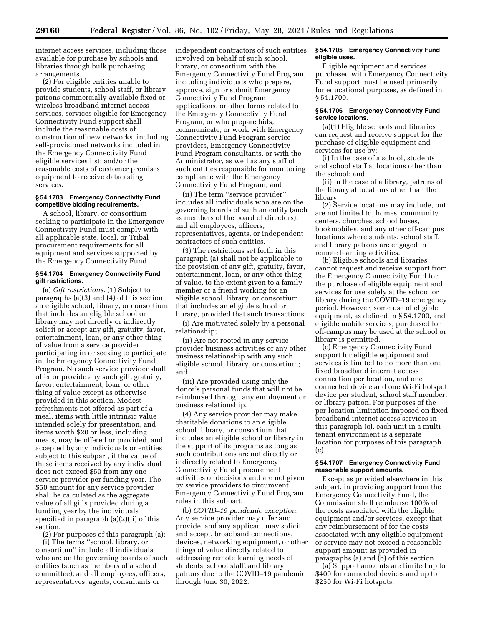internet access services, including those available for purchase by schools and libraries through bulk purchasing arrangements.

(2) For eligible entities unable to provide students, school staff, or library patrons commercially-available fixed or wireless broadband internet access services, services eligible for Emergency Connectivity Fund support shall include the reasonable costs of construction of new networks, including self-provisioned networks included in the Emergency Connectivity Fund eligible services list; and/or the reasonable costs of customer premises equipment to receive datacasting services.

### **§ 54.1703 Emergency Connectivity Fund competitive bidding requirements.**

A school, library, or consortium seeking to participate in the Emergency Connectivity Fund must comply with all applicable state, local, or Tribal procurement requirements for all equipment and services supported by the Emergency Connectivity Fund.

# **§ 54.1704 Emergency Connectivity Fund gift restrictions.**

(a) *Gift restrictions.* (1) Subject to paragraphs (a)(3) and (4) of this section, an eligible school, library, or consortium that includes an eligible school or library may not directly or indirectly solicit or accept any gift, gratuity, favor, entertainment, loan, or any other thing of value from a service provider participating in or seeking to participate in the Emergency Connectivity Fund Program. No such service provider shall offer or provide any such gift, gratuity, favor, entertainment, loan, or other thing of value except as otherwise provided in this section. Modest refreshments not offered as part of a meal, items with little intrinsic value intended solely for presentation, and items worth \$20 or less, including meals, may be offered or provided, and accepted by any individuals or entities subject to this subpart, if the value of these items received by any individual does not exceed \$50 from any one service provider per funding year. The \$50 amount for any service provider shall be calculated as the aggregate value of all gifts provided during a funding year by the individuals specified in paragraph (a)(2)(ii) of this section.

(2) For purposes of this paragraph (a): (i) The terms ''school, library, or consortium'' include all individuals who are on the governing boards of such entities (such as members of a school committee), and all employees, officers, representatives, agents, consultants or

independent contractors of such entities involved on behalf of such school, library, or consortium with the Emergency Connectivity Fund Program, including individuals who prepare, approve, sign or submit Emergency Connectivity Fund Program applications, or other forms related to the Emergency Connectivity Fund Program, or who prepare bids, communicate, or work with Emergency Connectivity Fund Program service providers, Emergency Connectivity Fund Program consultants, or with the Administrator, as well as any staff of such entities responsible for monitoring compliance with the Emergency Connectivity Fund Program; and

(ii) The term ''service provider'' includes all individuals who are on the governing boards of such an entity (such as members of the board of directors), and all employees, officers, representatives, agents, or independent contractors of such entities.

(3) The restrictions set forth in this paragraph (a) shall not be applicable to the provision of any gift, gratuity, favor, entertainment, loan, or any other thing of value, to the extent given to a family member or a friend working for an eligible school, library, or consortium that includes an eligible school or library, provided that such transactions:

(i) Are motivated solely by a personal relationship;

(ii) Are not rooted in any service provider business activities or any other business relationship with any such eligible school, library, or consortium; and

(iii) Are provided using only the donor's personal funds that will not be reimbursed through any employment or business relationship.

(4) Any service provider may make charitable donations to an eligible school, library, or consortium that includes an eligible school or library in the support of its programs as long as such contributions are not directly or indirectly related to Emergency Connectivity Fund procurement activities or decisions and are not given by service providers to circumvent Emergency Connectivity Fund Program rules in this subpart.

(b) *COVID–19 pandemic exception.*  Any service provider may offer and provide, and any applicant may solicit and accept, broadband connections, devices, networking equipment, or other things of value directly related to addressing remote learning needs of students, school staff, and library patrons due to the COVID–19 pandemic through June 30, 2022.

### **§ 54.1705 Emergency Connectivity Fund eligible uses.**

Eligible equipment and services purchased with Emergency Connectivity Fund support must be used primarily for educational purposes, as defined in § 54.1700.

# **§ 54.1706 Emergency Connectivity Fund service locations.**

(a)(1) Eligible schools and libraries can request and receive support for the purchase of eligible equipment and services for use by:

(i) In the case of a school, students and school staff at locations other than the school; and

(ii) In the case of a library, patrons of the library at locations other than the library.

(2) Service locations may include, but are not limited to, homes, community centers, churches, school buses, bookmobiles, and any other off-campus locations where students, school staff, and library patrons are engaged in remote learning activities.

(b) Eligible schools and libraries cannot request and receive support from the Emergency Connectivity Fund for the purchase of eligible equipment and services for use solely at the school or library during the COVID–19 emergency period. However, some use of eligible equipment, as defined in § 54.1700, and eligible mobile services, purchased for off-campus may be used at the school or library is permitted.

(c) Emergency Connectivity Fund support for eligible equipment and services is limited to no more than one fixed broadband internet access connection per location, and one connected device and one Wi-Fi hotspot device per student, school staff member, or library patron. For purposes of the per-location limitation imposed on fixed broadband internet access services in this paragraph (c), each unit in a multitenant environment is a separate location for purposes of this paragraph (c).

## **§ 54.1707 Emergency Connectivity Fund reasonable support amounts.**

Except as provided elsewhere in this subpart, in providing support from the Emergency Connectivity Fund, the Commission shall reimburse 100% of the costs associated with the eligible equipment and/or services, except that any reimbursement of for the costs associated with any eligible equipment or service may not exceed a reasonable support amount as provided in paragraphs (a) and (b) of this section.

(a) Support amounts are limited up to \$400 for connected devices and up to \$250 for Wi-Fi hotspots.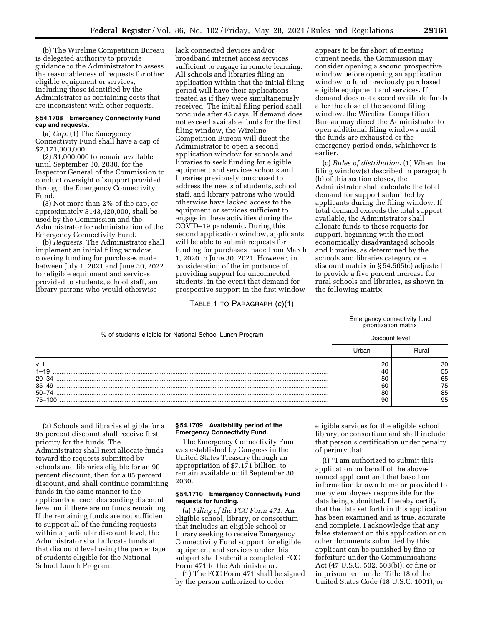(b) The Wireline Competition Bureau is delegated authority to provide guidance to the Administrator to assess the reasonableness of requests for other eligible equipment or services, including those identified by the Administrator as containing costs that are inconsistent with other requests.

# **§ 54.1708 Emergency Connectivity Fund cap and requests.**

(a) *Cap.* (1) The Emergency Connectivity Fund shall have a cap of \$7,171,000,000.

(2) \$1,000,000 to remain available until September 30, 2030, for the Inspector General of the Commission to conduct oversight of support provided through the Emergency Connectivity Fund.

(3) Not more than 2% of the cap, or approximately \$143,420,000, shall be used by the Commission and the Administrator for administration of the Emergency Connectivity Fund.

(b) *Requests.* The Administrator shall implement an initial filing window, covering funding for purchases made between July 1, 2021 and June 30, 2022 for eligible equipment and services provided to students, school staff, and library patrons who would otherwise

lack connected devices and/or broadband internet access services sufficient to engage in remote learning. All schools and libraries filing an application within that the initial filing period will have their applications treated as if they were simultaneously received. The initial filing period shall conclude after 45 days. If demand does not exceed available funds for the first filing window, the Wireline Competition Bureau will direct the Administrator to open a second application window for schools and libraries to seek funding for eligible equipment and services schools and libraries previously purchased to address the needs of students, school staff, and library patrons who would otherwise have lacked access to the equipment or services sufficient to engage in these activities during the COVID–19 pandemic. During this second application window, applicants will be able to submit requests for funding for purchases made from March 1, 2020 to June 30, 2021. However, in consideration of the importance of providing support for unconnected students, in the event that demand for prospective support in the first window

#### TABLE 1 TO PARAGRAPH (c)(1)

appears to be far short of meeting current needs, the Commission may consider opening a second prospective window before opening an application window to fund previously purchased eligible equipment and services. If demand does not exceed available funds after the close of the second filing window, the Wireline Competition Bureau may direct the Administrator to open additional filing windows until the funds are exhausted or the emergency period ends, whichever is earlier.

(c) *Rules of distribution.* (1) When the filing window(s) described in paragraph (b) of this section closes, the Administrator shall calculate the total demand for support submitted by applicants during the filing window. If total demand exceeds the total support available, the Administrator shall allocate funds to these requests for support, beginning with the most economically disadvantaged schools and libraries, as determined by the schools and libraries category one discount matrix in § 54.505(c) adjusted to provide a five percent increase for rural schools and libraries, as shown in the following matrix.

| % of students eligible for National School Lunch Program | Emergency connectivity fund<br>prioritization matrix |       |
|----------------------------------------------------------|------------------------------------------------------|-------|
|                                                          | Discount level                                       |       |
|                                                          | Urban                                                | Rural |
|                                                          | 20                                                   | 30    |
|                                                          | 40                                                   | 55    |
| $20 - 34$                                                | 50                                                   | 65    |
|                                                          | 60                                                   | 75    |
|                                                          | 80                                                   | 85    |
| 75–100                                                   | 90                                                   | 95    |

(2) Schools and libraries eligible for a 95 percent discount shall receive first priority for the funds. The Administrator shall next allocate funds toward the requests submitted by schools and libraries eligible for an 90 percent discount, then for a 85 percent discount, and shall continue committing funds in the same manner to the applicants at each descending discount level until there are no funds remaining. If the remaining funds are not sufficient to support all of the funding requests within a particular discount level, the Administrator shall allocate funds at that discount level using the percentage of students eligible for the National School Lunch Program.

## **§ 54.1709 Availability period of the Emergency Connectivity Fund.**

The Emergency Connectivity Fund was established by Congress in the United States Treasury through an appropriation of \$7.171 billion, to remain available until September 30, 2030.

# **§ 54.1710 Emergency Connectivity Fund requests for funding.**

(a) *Filing of the FCC Form 471.* An eligible school, library, or consortium that includes an eligible school or library seeking to receive Emergency Connectivity Fund support for eligible equipment and services under this subpart shall submit a completed FCC Form 471 to the Administrator.

(1) The FCC Form 471 shall be signed by the person authorized to order

eligible services for the eligible school, library, or consortium and shall include that person's certification under penalty of perjury that:

(i) ''I am authorized to submit this application on behalf of the abovenamed applicant and that based on information known to me or provided to me by employees responsible for the data being submitted, I hereby certify that the data set forth in this application has been examined and is true, accurate and complete. I acknowledge that any false statement on this application or on other documents submitted by this applicant can be punished by fine or forfeiture under the Communications Act (47 U.S.C. 502, 503(b)), or fine or imprisonment under Title 18 of the United States Code (18 U.S.C. 1001), or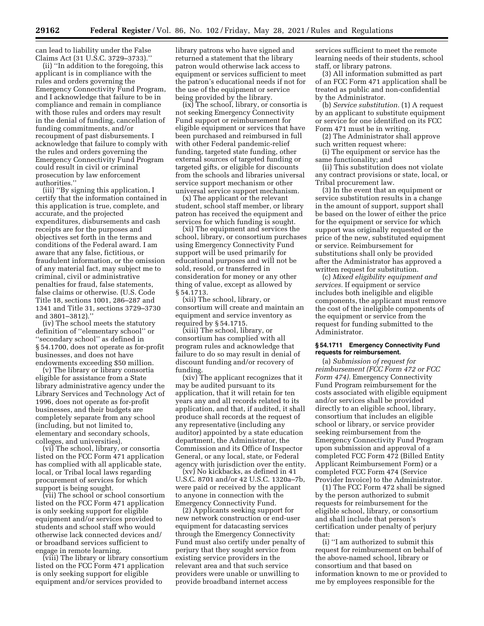can lead to liability under the False Claims Act (31 U.S.C. 3729–3733).''

(ii) ''In addition to the foregoing, this applicant is in compliance with the rules and orders governing the Emergency Connectivity Fund Program, and I acknowledge that failure to be in compliance and remain in compliance with those rules and orders may result in the denial of funding, cancellation of funding commitments, and/or recoupment of past disbursements. I acknowledge that failure to comply with the rules and orders governing the Emergency Connectivity Fund Program could result in civil or criminal prosecution by law enforcement authorities.''

(iii) ''By signing this application, I certify that the information contained in this application is true, complete, and accurate, and the projected expenditures, disbursements and cash receipts are for the purposes and objectives set forth in the terms and conditions of the Federal award. I am aware that any false, fictitious, or fraudulent information, or the omission of any material fact, may subject me to criminal, civil or administrative penalties for fraud, false statements, false claims or otherwise. (U.S. Code Title 18, sections 1001, 286–287 and 1341 and Title 31, sections 3729–3730 and 3801–3812).''

(iv) The school meets the statutory definition of ''elementary school'' or ''secondary school'' as defined in § 54.1700, does not operate as for-profit businesses, and does not have endowments exceeding \$50 million.

(v) The library or library consortia eligible for assistance from a State library administrative agency under the Library Services and Technology Act of 1996, does not operate as for-profit businesses, and their budgets are completely separate from any school (including, but not limited to, elementary and secondary schools, colleges, and universities).

(vi) The school, library, or consortia listed on the FCC Form 471 application has complied with all applicable state, local, or Tribal local laws regarding procurement of services for which support is being sought.

(vii) The school or school consortium listed on the FCC Form 471 application is only seeking support for eligible equipment and/or services provided to students and school staff who would otherwise lack connected devices and/ or broadband services sufficient to engage in remote learning.

(viii) The library or library consortium listed on the FCC Form 471 application is only seeking support for eligible equipment and/or services provided to

library patrons who have signed and returned a statement that the library patron would otherwise lack access to equipment or services sufficient to meet the patron's educational needs if not for the use of the equipment or service being provided by the library.

(ix) The school, library, or consortia is not seeking Emergency Connectivity Fund support or reimbursement for eligible equipment or services that have been purchased and reimbursed in full with other Federal pandemic-relief funding, targeted state funding, other external sources of targeted funding or targeted gifts, or eligible for discounts from the schools and libraries universal service support mechanism or other universal service support mechanism.

(x) The applicant or the relevant student, school staff member, or library patron has received the equipment and services for which funding is sought.

(xi) The equipment and services the school, library, or consortium purchases using Emergency Connectivity Fund support will be used primarily for educational purposes and will not be sold, resold, or transferred in consideration for money or any other thing of value, except as allowed by § 54.1713.

(xii) The school, library, or consortium will create and maintain an equipment and service inventory as required by § 54.1715.

(xiii) The school, library, or consortium has complied with all program rules and acknowledge that failure to do so may result in denial of discount funding and/or recovery of funding.

(xiv) The applicant recognizes that it may be audited pursuant to its application, that it will retain for ten years any and all records related to its application, and that, if audited, it shall produce shall records at the request of any representative (including any auditor) appointed by a state education department, the Administrator, the Commission and its Office of Inspector General, or any local, state, or Federal agency with jurisdiction over the entity.

(xv) No kickbacks, as defined in 41 U.S.C. 8701 and/or 42 U.S.C. 1320a–7b, were paid or received by the applicant to anyone in connection with the Emergency Connectivity Fund.

(2) Applicants seeking support for new network construction or end-user equipment for datacasting services through the Emergency Connectivity Fund must also certify under penalty of perjury that they sought service from existing service providers in the relevant area and that such service providers were unable or unwilling to provide broadband internet access

services sufficient to meet the remote learning needs of their students, school staff, or library patrons.

(3) All information submitted as part of an FCC Form 471 application shall be treated as public and non-confidential by the Administrator.

(b) *Service substitution.* (1) A request by an applicant to substitute equipment or service for one identified on its FCC Form 471 must be in writing.

(2) The Administrator shall approve such written request where:

(i) The equipment or service has the same functionality; and

(ii) This substitution does not violate any contract provisions or state, local, or Tribal procurement law.

(3) In the event that an equipment or service substitution results in a change in the amount of support, support shall be based on the lower of either the price for the equipment or service for which support was originally requested or the price of the new, substituted equipment or service. Reimbursement for substitutions shall only be provided after the Administrator has approved a written request for substitution.

(c) *Mixed eligibility equipment and services.* If equipment or service includes both ineligible and eligible components, the applicant must remove the cost of the ineligible components of the equipment or service from the request for funding submitted to the Administrator.

## **§ 54.1711 Emergency Connectivity Fund requests for reimbursement.**

(a) *Submission of request for reimbursement (FCC Form 472 or FCC Form 474).* Emergency Connectivity Fund Program reimbursement for the costs associated with eligible equipment and/or services shall be provided directly to an eligible school, library, consortium that includes an eligible school or library, or service provider seeking reimbursement from the Emergency Connectivity Fund Program upon submission and approval of a completed FCC Form 472 (Billed Entity Applicant Reimbursement Form) or a completed FCC Form 474 (Service Provider Invoice) to the Administrator.

(1) The FCC Form 472 shall be signed by the person authorized to submit requests for reimbursement for the eligible school, library, or consortium and shall include that person's certification under penalty of perjury that:

(i) ''I am authorized to submit this request for reimbursement on behalf of the above-named school, library or consortium and that based on information known to me or provided to me by employees responsible for the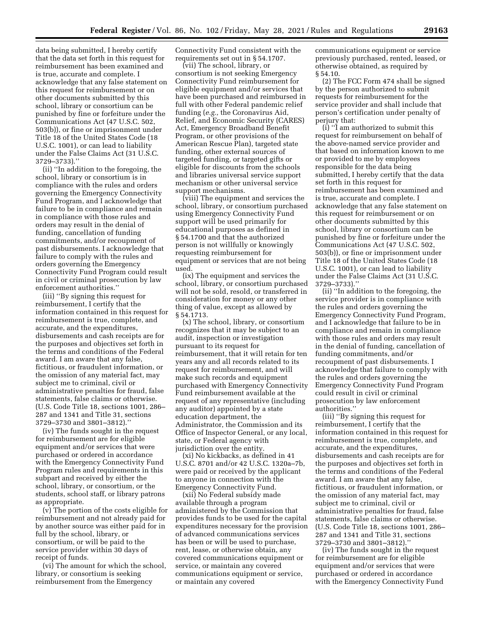data being submitted, I hereby certify that the data set forth in this request for reimbursement has been examined and is true, accurate and complete. I acknowledge that any false statement on this request for reimbursement or on other documents submitted by this school, library or consortium can be punished by fine or forfeiture under the Communications Act (47 U.S.C. 502, 503(b)), or fine or imprisonment under Title 18 of the United States Code (18 U.S.C. 1001), or can lead to liability under the False Claims Act (31 U.S.C. 3729–3733).''

(ii) ''In addition to the foregoing, the school, library or consortium is in compliance with the rules and orders governing the Emergency Connectivity Fund Program, and I acknowledge that failure to be in compliance and remain in compliance with those rules and orders may result in the denial of funding, cancellation of funding commitments, and/or recoupment of past disbursements. I acknowledge that failure to comply with the rules and orders governing the Emergency Connectivity Fund Program could result in civil or criminal prosecution by law enforcement authorities.''

(iii) ''By signing this request for reimbursement, I certify that the information contained in this request for reimbursement is true, complete, and accurate, and the expenditures, disbursements and cash receipts are for the purposes and objectives set forth in the terms and conditions of the Federal award. I am aware that any false, fictitious, or fraudulent information, or the omission of any material fact, may subject me to criminal, civil or administrative penalties for fraud, false statements, false claims or otherwise. (U.S. Code Title 18, sections 1001, 286– 287 and 1341 and Title 31, sections 3729–3730 and 3801–3812).''

(iv) The funds sought in the request for reimbursement are for eligible equipment and/or services that were purchased or ordered in accordance with the Emergency Connectivity Fund Program rules and requirements in this subpart and received by either the school, library, or consortium, or the students, school staff, or library patrons as appropriate.

(v) The portion of the costs eligible for reimbursement and not already paid for by another source was either paid for in full by the school, library, or consortium, or will be paid to the service provider within 30 days of receipt of funds.

(vi) The amount for which the school, library, or consortium is seeking reimbursement from the Emergency

Connectivity Fund consistent with the requirements set out in § 54.1707.

(vii) The school, library, or consortium is not seeking Emergency Connectivity Fund reimbursement for eligible equipment and/or services that have been purchased and reimbursed in full with other Federal pandemic relief funding (*e.g.,* the Coronavirus Aid, Relief, and Economic Security (CARES) Act, Emergency Broadband Benefit Program, or other provisions of the American Rescue Plan), targeted state funding, other external sources of targeted funding, or targeted gifts or eligible for discounts from the schools and libraries universal service support mechanism or other universal service support mechanisms.

(viii) The equipment and services the school, library, or consortium purchased using Emergency Connectivity Fund support will be used primarily for educational purposes as defined in § 54.1700 and that the authorized person is not willfully or knowingly requesting reimbursement for equipment or services that are not being used.

(ix) The equipment and services the school, library, or consortium purchased will not be sold, resold, or transferred in consideration for money or any other thing of value, except as allowed by § 54.1713.

(x) The school, library, or consortium recognizes that it may be subject to an audit, inspection or investigation pursuant to its request for reimbursement, that it will retain for ten years any and all records related to its request for reimbursement, and will make such records and equipment purchased with Emergency Connectivity Fund reimbursement available at the request of any representative (including any auditor) appointed by a state education department, the Administrator, the Commission and its Office of Inspector General, or any local, state, or Federal agency with jurisdiction over the entity.

(xi) No kickbacks, as defined in 41 U.S.C. 8701 and/or 42 U.S.C. 1320a–7b, were paid or received by the applicant to anyone in connection with the Emergency Connectivity Fund.

(xii) No Federal subsidy made available through a program administered by the Commission that provides funds to be used for the capital expenditures necessary for the provision of advanced communications services has been or will be used to purchase, rent, lease, or otherwise obtain, any covered communications equipment or service, or maintain any covered communications equipment or service, or maintain any covered

communications equipment or service previously purchased, rented, leased, or otherwise obtained, as required by § 54.10.

(2) The FCC Form 474 shall be signed by the person authorized to submit requests for reimbursement for the service provider and shall include that person's certification under penalty of perjury that:

(i) ''I am authorized to submit this request for reimbursement on behalf of the above-named service provider and that based on information known to me or provided to me by employees responsible for the data being submitted, I hereby certify that the data set forth in this request for reimbursement has been examined and is true, accurate and complete. I acknowledge that any false statement on this request for reimbursement or on other documents submitted by this school, library or consortium can be punished by fine or forfeiture under the Communications Act (47 U.S.C. 502, 503(b)), or fine or imprisonment under Title 18 of the United States Code (18 U.S.C. 1001), or can lead to liability under the False Claims Act (31 U.S.C. 3729–3733).''

(ii) ''In addition to the foregoing, the service provider is in compliance with the rules and orders governing the Emergency Connectivity Fund Program, and I acknowledge that failure to be in compliance and remain in compliance with those rules and orders may result in the denial of funding, cancellation of funding commitments, and/or recoupment of past disbursements. I acknowledge that failure to comply with the rules and orders governing the Emergency Connectivity Fund Program could result in civil or criminal prosecution by law enforcement authorities.''

(iii) ''By signing this request for reimbursement, I certify that the information contained in this request for reimbursement is true, complete, and accurate, and the expenditures, disbursements and cash receipts are for the purposes and objectives set forth in the terms and conditions of the Federal award. I am aware that any false, fictitious, or fraudulent information, or the omission of any material fact, may subject me to criminal, civil or administrative penalties for fraud, false statements, false claims or otherwise. (U.S. Code Title 18, sections 1001, 286– 287 and 1341 and Title 31, sections 3729–3730 and 3801–3812).''

(iv) The funds sought in the request for reimbursement are for eligible equipment and/or services that were purchased or ordered in accordance with the Emergency Connectivity Fund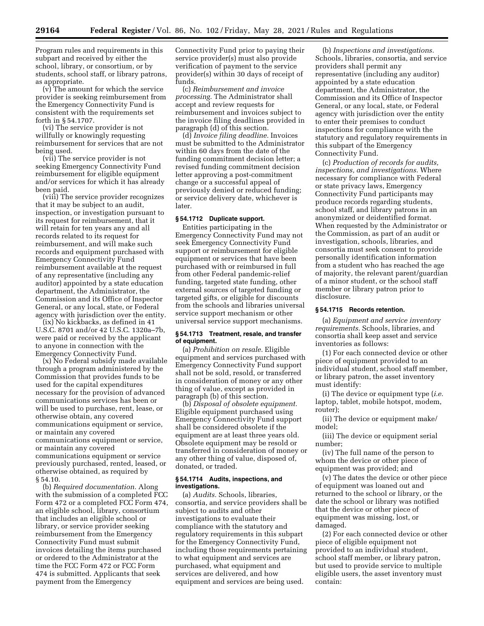Program rules and requirements in this subpart and received by either the school, library, or consortium, or by students, school staff, or library patrons, as appropriate.

(v) The amount for which the service provider is seeking reimbursement from the Emergency Connectivity Fund is consistent with the requirements set forth in § 54.1707.

(vi) The service provider is not willfully or knowingly requesting reimbursement for services that are not being used.

(vii) The service provider is not seeking Emergency Connectivity Fund reimbursement for eligible equipment and/or services for which it has already been paid.

(viii) The service provider recognizes that it may be subject to an audit, inspection, or investigation pursuant to its request for reimbursement, that it will retain for ten years any and all records related to its request for reimbursement, and will make such records and equipment purchased with Emergency Connectivity Fund reimbursement available at the request of any representative (including any auditor) appointed by a state education department, the Administrator, the Commission and its Office of Inspector General, or any local, state, or Federal agency with jurisdiction over the entity.

(ix) No kickbacks, as defined in 41 U.S.C. 8701 and/or 42 U.S.C. 1320a–7b, were paid or received by the applicant to anyone in connection with the Emergency Connectivity Fund.

(x) No Federal subsidy made available through a program administered by the Commission that provides funds to be used for the capital expenditures necessary for the provision of advanced communications services has been or will be used to purchase, rent, lease, or otherwise obtain, any covered communications equipment or service, or maintain any covered communications equipment or service, or maintain any covered communications equipment or service previously purchased, rented, leased, or otherwise obtained, as required by § 54.10.

(b) *Required documentation.* Along with the submission of a completed FCC Form 472 or a completed FCC Form 474, an eligible school, library, consortium that includes an eligible school or library, or service provider seeking reimbursement from the Emergency Connectivity Fund must submit invoices detailing the items purchased or ordered to the Administrator at the time the FCC Form 472 or FCC Form 474 is submitted. Applicants that seek payment from the Emergency

Connectivity Fund prior to paying their service provider(s) must also provide verification of payment to the service provider(s) within 30 days of receipt of funds.

(c) *Reimbursement and invoice processing.* The Administrator shall accept and review requests for reimbursement and invoices subject to the invoice filing deadlines provided in paragraph (d) of this section.

(d) *Invoice filing deadline.* Invoices must be submitted to the Administrator within 60 days from the date of the funding commitment decision letter; a revised funding commitment decision letter approving a post-commitment change or a successful appeal of previously denied or reduced funding; or service delivery date, whichever is later.

# **§ 54.1712 Duplicate support.**

Entities participating in the Emergency Connectivity Fund may not seek Emergency Connectivity Fund support or reimbursement for eligible equipment or services that have been purchased with or reimbursed in full from other Federal pandemic-relief funding, targeted state funding, other external sources of targeted funding or targeted gifts, or eligible for discounts from the schools and libraries universal service support mechanism or other universal service support mechanisms.

# **§ 54.1713 Treatment, resale, and transfer of equipment.**

(a) *Prohibition on resale.* Eligible equipment and services purchased with Emergency Connectivity Fund support shall not be sold, resold, or transferred in consideration of money or any other thing of value, except as provided in paragraph (b) of this section.

(b) *Disposal of obsolete equipment.*  Eligible equipment purchased using Emergency Connectivity Fund support shall be considered obsolete if the equipment are at least three years old. Obsolete equipment may be resold or transferred in consideration of money or any other thing of value, disposed of, donated, or traded.

#### **§ 54.1714 Audits, inspections, and investigations.**

(a) *Audits.* Schools, libraries, consortia, and service providers shall be subject to audits and other investigations to evaluate their compliance with the statutory and regulatory requirements in this subpart for the Emergency Connectivity Fund, including those requirements pertaining to what equipment and services are purchased, what equipment and services are delivered, and how equipment and services are being used.

(b) *Inspections and investigations.*  Schools, libraries, consortia, and service providers shall permit any representative (including any auditor) appointed by a state education department, the Administrator, the Commission and its Office of Inspector General, or any local, state, or Federal agency with jurisdiction over the entity to enter their premises to conduct inspections for compliance with the statutory and regulatory requirements in this subpart of the Emergency Connectivity Fund.

(c) *Production of records for audits, inspections, and investigations.* Where necessary for compliance with Federal or state privacy laws, Emergency Connectivity Fund participants may produce records regarding students, school staff, and library patrons in an anonymized or deidentified format. When requested by the Administrator or the Commission, as part of an audit or investigation, schools, libraries, and consortia must seek consent to provide personally identification information from a student who has reached the age of majority, the relevant parent/guardian of a minor student, or the school staff member or library patron prior to disclosure.

## **§ 54.1715 Records retention.**

(a) *Equipment and service inventory requirements.* Schools, libraries, and consortia shall keep asset and service inventories as follows:

(1) For each connected device or other piece of equipment provided to an individual student, school staff member, or library patron, the asset inventory must identify:

(i) The device or equipment type (*i.e.*  laptop, tablet, mobile hotspot, modem, router);

(ii) The device or equipment make/ model;

(iii) The device or equipment serial number;

(iv) The full name of the person to whom the device or other piece of equipment was provided; and

(v) The dates the device or other piece of equipment was loaned out and returned to the school or library, or the date the school or library was notified that the device or other piece of equipment was missing, lost, or damaged.

(2) For each connected device or other piece of eligible equipment not provided to an individual student, school staff member, or library patron, but used to provide service to multiple eligible users, the asset inventory must contain: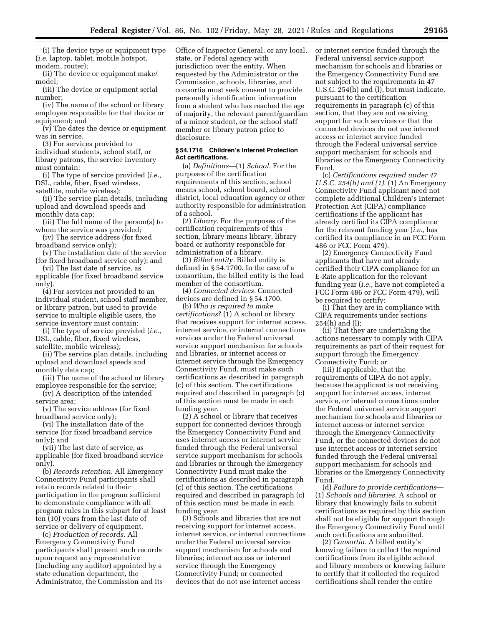(i) The device type or equipment type (*i.e.* laptop, tablet, mobile hotspot, modem, router);

(ii) The device or equipment make/ model;

(iii) The device or equipment serial number;

(iv) The name of the school or library employee responsible for that device or equipment; and

(v) The dates the device or equipment was in service.

(3) For services provided to individual students, school staff, or library patrons, the service inventory must contain:

(i) The type of service provided (*i.e.,*  DSL, cable, fiber, fixed wireless, satellite, mobile wireless);

(ii) The service plan details, including upload and download speeds and monthly data cap;

(iii) The full name of the person(s) to whom the service was provided;

(iv) The service address (for fixed broadband service only);

(v) The installation date of the service (for fixed broadband service only); and

(vi) The last date of service, as applicable (for fixed broadband service only).

(4) For services not provided to an individual student, school staff member, or library patron, but used to provide service to multiple eligible users, the service inventory must contain:

(i) The type of service provided (*i.e.,*  DSL, cable, fiber, fixed wireless, satellite, mobile wireless);

(ii) The service plan details, including upload and download speeds and monthly data cap;

(iii) The name of the school or library employee responsible for the service;

(iv) A description of the intended service area;

(v) The service address (for fixed broadband service only);

(vi) The installation date of the service (for fixed broadband service only); and

(vii) The last date of service, as applicable (for fixed broadband service only).

(b) *Records retention.* All Emergency Connectivity Fund participants shall retain records related to their participation in the program sufficient to demonstrate compliance with all program rules in this subpart for at least ten (10) years from the last date of service or delivery of equipment.

(c) *Production of records.* All Emergency Connectivity Fund participants shall present such records upon request any representative (including any auditor) appointed by a state education department, the Administrator, the Commission and its Office of Inspector General, or any local, state, or Federal agency with jurisdiction over the entity. When requested by the Administrator or the Commission, schools, libraries, and consortia must seek consent to provide personally identification information from a student who has reached the age of majority, the relevant parent/guardian of a minor student, or the school staff member or library patron prior to disclosure.

### **§ 54.1716 Children's Internet Protection Act certifications.**

(a) *Definitions*—(1) *School.* For the purposes of the certification requirements of this section, school means school, school board, school district, local education agency or other authority responsible for administration of a school.

(2) *Library.* For the purposes of the certification requirements of this section, library means library, library board or authority responsible for administration of a library.

(3) *Billed entity.* Billed entity is defined in § 54.1700. In the case of a consortium, the billed entity is the lead member of the consortium.

(4) *Connected devices.* Connected devices are defined in § 54.1700.

(b) *Who is required to make certifications*? (1) A school or library that receives support for internet access, internet service, or internal connections services under the Federal universal service support mechanism for schools and libraries, or internet access or internet service through the Emergency Connectivity Fund, must make such certifications as described in paragraph (c) of this section. The certifications required and described in paragraph (c) of this section must be made in each funding year.

(2) A school or library that receives support for connected devices through the Emergency Connectivity Fund and uses internet access or internet service funded through the Federal universal service support mechanism for schools and libraries or through the Emergency Connectivity Fund must make the certifications as described in paragraph (c) of this section. The certifications required and described in paragraph (c) of this section must be made in each funding year.

(3) Schools and libraries that are not receiving support for internet access, internet service, or internal connections under the Federal universal service support mechanism for schools and libraries; internet access or internet service through the Emergency Connectivity Fund; or connected devices that do not use internet access

or internet service funded through the Federal universal service support mechanism for schools and libraries or the Emergency Connectivity Fund are not subject to the requirements in 47 U.S.C. 254(h) and (l), but must indicate, pursuant to the certification requirements in paragraph (c) of this section, that they are not receiving support for such services or that the connected devices do not use internet access or internet service funded through the Federal universal service support mechanism for schools and libraries or the Emergency Connectivity Fund.

(c) *Certifications required under 47 U.S.C. 254(h) and (1)*. (1) An Emergency Connectivity Fund applicant need not complete additional Children's Internet Protection Act (CIPA) compliance certifications if the applicant has already certified its CIPA compliance for the relevant funding year (*i.e.,* has certified its compliance in an FCC Form 486 or FCC Form 479).

(2) Emergency Connectivity Fund applicants that have not already certified their CIPA compliance for an E-Rate application for the relevant funding year (*i.e.,* have not completed a FCC Form 486 or FCC Form 479), will be required to certify:

(i) That they are in compliance with CIPA requirements under sections 254(h) and (l);

(ii) That they are undertaking the actions necessary to comply with CIPA requirements as part of their request for support through the Emergency Connectivity Fund; or

(iii) If applicable, that the requirements of CIPA do not apply, because the applicant is not receiving support for internet access, internet service, or internal connections under the Federal universal service support mechanism for schools and libraries or internet access or internet service through the Emergency Connectivity Fund, or the connected devices do not use internet access or internet service funded through the Federal universal support mechanism for schools and libraries or the Emergency Connectivity Fund.

(d) *Failure to provide certifications*— (1) *Schools and libraries.* A school or library that knowingly fails to submit certifications as required by this section shall not be eligible for support through the Emergency Connectivity Fund until such certifications are submitted.

(2) *Consortia.* A billed entity's knowing failure to collect the required certifications from its eligible school and library members or knowing failure to certify that it collected the required certifications shall render the entire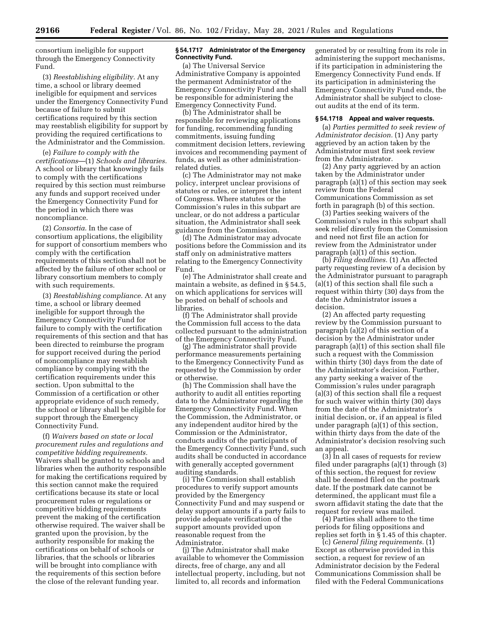consortium ineligible for support through the Emergency Connectivity Fund.

(3) *Reestablishing eligibility.* At any time, a school or library deemed ineligible for equipment and services under the Emergency Connectivity Fund because of failure to submit certifications required by this section may reestablish eligibility for support by providing the required certifications to the Administrator and the Commission.

(e) *Failure to comply with the certifications*—(1) *Schools and libraries.*  A school or library that knowingly fails to comply with the certifications required by this section must reimburse any funds and support received under the Emergency Connectivity Fund for the period in which there was noncompliance.

(2) *Consortia.* In the case of consortium applications, the eligibility for support of consortium members who comply with the certification requirements of this section shall not be affected by the failure of other school or library consortium members to comply with such requirements.

(3) *Reestablishing compliance.* At any time, a school or library deemed ineligible for support through the Emergency Connectivity Fund for failure to comply with the certification requirements of this section and that has been directed to reimburse the program for support received during the period of noncompliance may reestablish compliance by complying with the certification requirements under this section. Upon submittal to the Commission of a certification or other appropriate evidence of such remedy, the school or library shall be eligible for support through the Emergency Connectivity Fund.

(f) *Waivers based on state or local procurement rules and regulations and competitive bidding requirements.*  Waivers shall be granted to schools and libraries when the authority responsible for making the certifications required by this section cannot make the required certifications because its state or local procurement rules or regulations or competitive bidding requirements prevent the making of the certification otherwise required. The waiver shall be granted upon the provision, by the authority responsible for making the certifications on behalf of schools or libraries, that the schools or libraries will be brought into compliance with the requirements of this section before the close of the relevant funding year.

#### **§ 54.1717 Administrator of the Emergency Connectivity Fund.**

(a) The Universal Service Administrative Company is appointed the permanent Administrator of the Emergency Connectivity Fund and shall be responsible for administering the Emergency Connectivity Fund.

(b) The Administrator shall be responsible for reviewing applications for funding, recommending funding commitments, issuing funding commitment decision letters, reviewing invoices and recommending payment of funds, as well as other administrationrelated duties.

(c) The Administrator may not make policy, interpret unclear provisions of statutes or rules, or interpret the intent of Congress. Where statutes or the Commission's rules in this subpart are unclear, or do not address a particular situation, the Administrator shall seek guidance from the Commission.

(d) The Administrator may advocate positions before the Commission and its staff only on administrative matters relating to the Emergency Connectivity Fund.

(e) The Administrator shall create and maintain a website, as defined in § 54.5, on which applications for services will be posted on behalf of schools and libraries.

(f) The Administrator shall provide the Commission full access to the data collected pursuant to the administration of the Emergency Connectivity Fund.

(g) The administrator shall provide performance measurements pertaining to the Emergency Connectivity Fund as requested by the Commission by order or otherwise.

(h) The Commission shall have the authority to audit all entities reporting data to the Administrator regarding the Emergency Connectivity Fund. When the Commission, the Administrator, or any independent auditor hired by the Commission or the Administrator, conducts audits of the participants of the Emergency Connectivity Fund, such audits shall be conducted in accordance with generally accepted government auditing standards.

(i) The Commission shall establish procedures to verify support amounts provided by the Emergency Connectivity Fund and may suspend or delay support amounts if a party fails to provide adequate verification of the support amounts provided upon reasonable request from the Administrator.

(j) The Administrator shall make available to whomever the Commission directs, free of charge, any and all intellectual property, including, but not limited to, all records and information

generated by or resulting from its role in administering the support mechanisms, if its participation in administering the Emergency Connectivity Fund ends. If its participation in administering the Emergency Connectivity Fund ends, the Administrator shall be subject to closeout audits at the end of its term.

## **§ 54.1718 Appeal and waiver requests.**

(a) *Parties permitted to seek review of Administrator decision.* (1) Any party aggrieved by an action taken by the Administrator must first seek review from the Administrator.

(2) Any party aggrieved by an action taken by the Administrator under paragraph (a)(1) of this section may seek review from the Federal Communications Commission as set forth in paragraph (b) of this section.

(3) Parties seeking waivers of the Commission's rules in this subpart shall seek relief directly from the Commission and need not first file an action for review from the Administrator under paragraph (a)(1) of this section.

(b) *Filing deadlines.* (1) An affected party requesting review of a decision by the Administrator pursuant to paragraph (a)(1) of this section shall file such a request within thirty (30) days from the date the Administrator issues a decision.

(2) An affected party requesting review by the Commission pursuant to paragraph (a)(2) of this section of a decision by the Administrator under paragraph (a)(1) of this section shall file such a request with the Commission within thirty (30) days from the date of the Administrator's decision. Further, any party seeking a waiver of the Commission's rules under paragraph (a)(3) of this section shall file a request for such waiver within thirty (30) days from the date of the Administrator's initial decision, or, if an appeal is filed under paragraph (a)(1) of this section, within thirty days from the date of the Administrator's decision resolving such an appeal.

(3) In all cases of requests for review filed under paragraphs (a)(1) through (3) of this section, the request for review shall be deemed filed on the postmark date. If the postmark date cannot be determined, the applicant must file a sworn affidavit stating the date that the request for review was mailed.

(4) Parties shall adhere to the time periods for filing oppositions and replies set forth in § 1.45 of this chapter.

(c) *General filing requirements.* (1) Except as otherwise provided in this section, a request for review of an Administrator decision by the Federal Communications Commission shall be filed with the Federal Communications